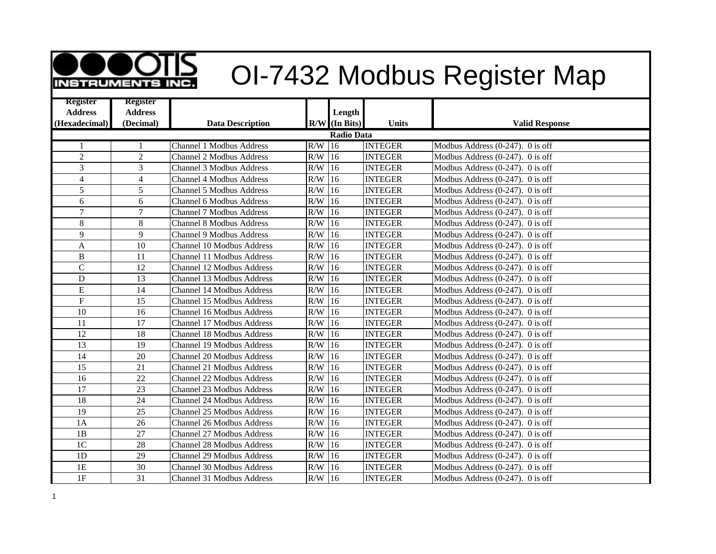

## **OID** OI-7432 Modbus Register Map

| <b>Register</b>  | <b>Register</b> |                                  |          |                 |                |                                     |  |  |  |
|------------------|-----------------|----------------------------------|----------|-----------------|----------------|-------------------------------------|--|--|--|
| <b>Address</b>   | <b>Address</b>  |                                  |          | Length          |                |                                     |  |  |  |
| (Hexadecimal)    | (Decimal)       | <b>Data Description</b>          |          | $R/W$ (In Bits) | <b>Units</b>   | <b>Valid Response</b>               |  |  |  |
| Radio Data       |                 |                                  |          |                 |                |                                     |  |  |  |
| 1                | 1               | <b>Channel 1 Modbus Address</b>  | R/W      | $\overline{16}$ | <b>INTEGER</b> | Modbus Address (0-247). 0 is off    |  |  |  |
| $\overline{c}$   | $\overline{2}$  | <b>Channel 2 Modbus Address</b>  | $R/W$ 16 |                 | <b>INTEGER</b> | Modbus Address $(0-247)$ . 0 is off |  |  |  |
| 3                | $\overline{3}$  | <b>Channel 3 Modbus Address</b>  | R/W      | 16              | <b>INTEGER</b> | Modbus Address $(0-247)$ . 0 is off |  |  |  |
| $\overline{4}$   | $\overline{4}$  | <b>Channel 4 Modbus Address</b>  | R/W      | 16              | <b>INTEGER</b> | Modbus Address $(0-247)$ . 0 is off |  |  |  |
| 5                | 5               | <b>Channel 5 Modbus Address</b>  | R/W      | 16              | <b>INTEGER</b> | Modbus Address (0-247). 0 is off    |  |  |  |
| 6                | 6               | <b>Channel 6 Modbus Address</b>  | R/W      | 16              | <b>INTEGER</b> | Modbus Address (0-247). 0 is off    |  |  |  |
| $\overline{7}$   | $\overline{7}$  | <b>Channel 7 Modbus Address</b>  | R/W      | 16              | <b>INTEGER</b> | Modbus Address $(0-247)$ . 0 is off |  |  |  |
| 8                | 8               | <b>Channel 8 Modbus Address</b>  | R/W      | 16              | <b>INTEGER</b> | Modbus Address $(0-247)$ . 0 is off |  |  |  |
| 9                | 9               | <b>Channel 9 Modbus Address</b>  | R/W      | 16              | <b>INTEGER</b> | Modbus Address $(0-247)$ . 0 is off |  |  |  |
| $\boldsymbol{A}$ | 10              | Channel 10 Modbus Address        | R/W      | 16              | <b>INTEGER</b> | Modbus Address $(0-247)$ . 0 is off |  |  |  |
| $\, {\bf B}$     | 11              | Channel 11 Modbus Address        | R/W      | 16              | <b>INTEGER</b> | Modbus Address $(0-247)$ . 0 is off |  |  |  |
| $\overline{C}$   | 12              | Channel 12 Modbus Address        | R/W      | 16              | <b>INTEGER</b> | Modbus Address $(0-247)$ . 0 is off |  |  |  |
| $\mathbf D$      | 13              | Channel 13 Modbus Address        | R/W      | 16              | <b>INTEGER</b> | Modbus Address (0-247). 0 is off    |  |  |  |
| ${\bf E}$        | 14              | Channel 14 Modbus Address        | R/W      | 16              | <b>INTEGER</b> | Modbus Address $(0-247)$ . 0 is off |  |  |  |
| $\mathbf F$      | 15              | Channel 15 Modbus Address        | R/W      | 16              | <b>INTEGER</b> | Modbus Address $(0-247)$ . 0 is off |  |  |  |
| 10               | 16              | Channel 16 Modbus Address        | R/W      | 16              | <b>INTEGER</b> | Modbus Address $(0-247)$ . 0 is off |  |  |  |
| 11               | 17              | Channel 17 Modbus Address        | R/W      | 16              | <b>INTEGER</b> | Modbus Address $(0-247)$ . 0 is off |  |  |  |
| 12               | 18              | Channel 18 Modbus Address        | R/W      | 16              | <b>INTEGER</b> | Modbus Address $(0-247)$ . 0 is off |  |  |  |
| 13               | 19              | Channel 19 Modbus Address        | R/W      | 16              | <b>INTEGER</b> | Modbus Address $(0-247)$ . 0 is off |  |  |  |
| 14               | 20              | <b>Channel 20 Modbus Address</b> | R/W      | 16              | <b>INTEGER</b> | Modbus Address (0-247). 0 is off    |  |  |  |
| 15               | 21              | Channel 21 Modbus Address        | R/W      | 16              | <b>INTEGER</b> | Modbus Address $(0-247)$ . 0 is off |  |  |  |
| 16               | 22              | Channel 22 Modbus Address        | R/W      | 16              | <b>INTEGER</b> | Modbus Address $(0-247)$ . 0 is off |  |  |  |
| 17               | 23              | Channel 23 Modbus Address        | R/W      | 16              | <b>INTEGER</b> | Modbus Address $(0-247)$ . 0 is off |  |  |  |
| 18               | 24              | Channel 24 Modbus Address        | R/W      | 16              | <b>INTEGER</b> | Modbus Address $(0-247)$ . 0 is off |  |  |  |
| 19               | 25              | Channel 25 Modbus Address        | R/W      | 16              | <b>INTEGER</b> | Modbus Address $(0-247)$ . 0 is off |  |  |  |
| 1A               | 26              | Channel 26 Modbus Address        | R/W      | 16              | <b>INTEGER</b> | Modbus Address (0-247). 0 is off    |  |  |  |
| 1B               | 27              | Channel 27 Modbus Address        | R/W      | 16              | <b>INTEGER</b> | Modbus Address $(0-247)$ . 0 is off |  |  |  |
| 1 <sup>C</sup>   | 28              | Channel 28 Modbus Address        | R/W      | 16              | <b>INTEGER</b> | Modbus Address (0-247). 0 is off    |  |  |  |
| 1D               | 29              | Channel 29 Modbus Address        | R/W      | 16              | <b>INTEGER</b> | Modbus Address $(0-247)$ . 0 is off |  |  |  |
| 1E               | 30              | Channel 30 Modbus Address        | R/W      | 16              | <b>INTEGER</b> | Modbus Address (0-247). 0 is off    |  |  |  |
| $1\mathrm{F}$    | 31              | Channel 31 Modbus Address        | $R/W$ 16 |                 | <b>INTEGER</b> | Modbus Address $(0-247)$ . 0 is off |  |  |  |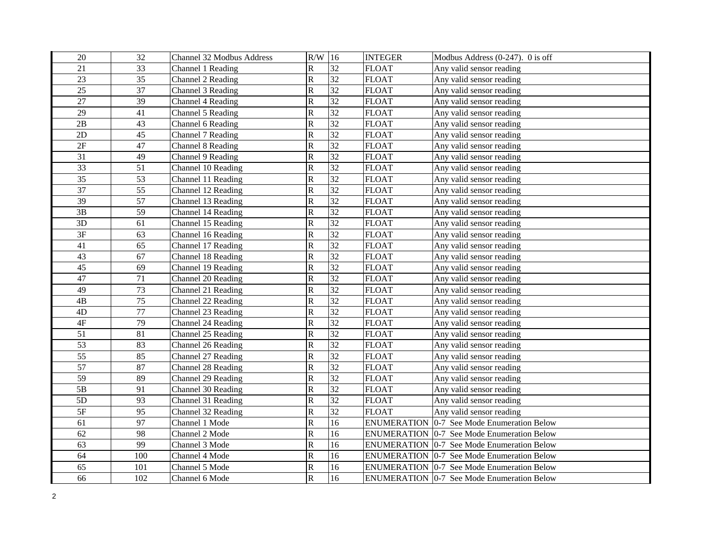| 20              | 32  | Channel 32 Modbus Address | $R/W$ 16                |                 | <b>INTEGER</b>     | Modbus Address (0-247). 0 is off                  |
|-----------------|-----|---------------------------|-------------------------|-----------------|--------------------|---------------------------------------------------|
| 21              | 33  | Channel 1 Reading         | $\mathbb{R}$            | 32              | <b>FLOAT</b>       | Any valid sensor reading                          |
| 23              | 35  | Channel 2 Reading         | $\overline{\text{R}}$   | $\overline{32}$ | <b>FLOAT</b>       | Any valid sensor reading                          |
| 25              | 37  | Channel 3 Reading         | R                       | 32              | <b>FLOAT</b>       | Any valid sensor reading                          |
| 27              | 39  | Channel 4 Reading         | $\mathsf{R}% _{T}$      | 32              | <b>FLOAT</b>       | Any valid sensor reading                          |
| 29              | 41  | Channel 5 Reading         | $\overline{\text{R}}$   | 32              | <b>FLOAT</b>       | Any valid sensor reading                          |
| 2B              | 43  | Channel 6 Reading         | $\mathsf{R}% _{T}$      | 32              | <b>FLOAT</b>       | Any valid sensor reading                          |
| $2\mathrm{D}$   | 45  | Channel 7 Reading         | $\mathsf{R}% _{T}$      | 32              | <b>FLOAT</b>       | Any valid sensor reading                          |
| $2\mathrm{F}$   | 47  | Channel 8 Reading         | R                       | 32              | <b>FLOAT</b>       | Any valid sensor reading                          |
| 31              | 49  | Channel 9 Reading         | $\overline{\text{R}}$   | 32              | <b>FLOAT</b>       | Any valid sensor reading                          |
| $\overline{33}$ | 51  | Channel 10 Reading        | $\overline{\text{R}}$   | 32              | <b>FLOAT</b>       | Any valid sensor reading                          |
| 35              | 53  | Channel 11 Reading        | $\overline{\text{R}}$   | 32              | <b>FLOAT</b>       | Any valid sensor reading                          |
| 37              | 55  | Channel 12 Reading        | $\overline{\text{R}}$   | 32              | <b>FLOAT</b>       | Any valid sensor reading                          |
| 39              | 57  | Channel 13 Reading        | $\overline{\text{R}}$   | $\overline{32}$ | <b>FLOAT</b>       | Any valid sensor reading                          |
| 3B              | 59  | Channel 14 Reading        | $\overline{\mathsf{R}}$ | 32              | <b>FLOAT</b>       | Any valid sensor reading                          |
| 3D              | 61  | Channel 15 Reading        | R                       | 32              | <b>FLOAT</b>       | Any valid sensor reading                          |
| 3F              | 63  | Channel 16 Reading        | $\overline{\text{R}}$   | 32              | <b>FLOAT</b>       | Any valid sensor reading                          |
| 41              | 65  | Channel 17 Reading        | R                       | 32              | <b>FLOAT</b>       | Any valid sensor reading                          |
| 43              | 67  | Channel 18 Reading        | $\overline{\text{R}}$   | 32              | <b>FLOAT</b>       | Any valid sensor reading                          |
| 45              | 69  | Channel 19 Reading        | $\mathsf{R}% _{T}$      | 32              | <b>FLOAT</b>       | Any valid sensor reading                          |
| 47              | 71  | Channel 20 Reading        | $\overline{\text{R}}$   | 32              | <b>FLOAT</b>       | Any valid sensor reading                          |
| 49              | 73  | Channel 21 Reading        | $\overline{\text{R}}$   | 32              | <b>FLOAT</b>       | Any valid sensor reading                          |
| 4B              | 75  | Channel 22 Reading        | $\mathsf{R}% _{T}$      | 32              | <b>FLOAT</b>       | Any valid sensor reading                          |
| 4D              | 77  | Channel 23 Reading        | $\overline{\text{R}}$   | 32              | <b>FLOAT</b>       | Any valid sensor reading                          |
| $4\mathrm{F}$   | 79  | Channel 24 Reading        | $\overline{\text{R}}$   | 32              | <b>FLOAT</b>       | Any valid sensor reading                          |
| 51              | 81  | Channel 25 Reading        | $\mathsf{R}% _{T}$      | 32              | <b>FLOAT</b>       | Any valid sensor reading                          |
| 53              | 83  | Channel 26 Reading        | R                       | $\overline{32}$ | <b>FLOAT</b>       | Any valid sensor reading                          |
| $\overline{55}$ | 85  | Channel 27 Reading        | $\mathsf{R}% _{T}$      | $\overline{32}$ | <b>FLOAT</b>       | Any valid sensor reading                          |
| 57              | 87  | Channel 28 Reading        | $\overline{\text{R}}$   | 32              | <b>FLOAT</b>       | Any valid sensor reading                          |
| $\overline{59}$ | 89  | Channel 29 Reading        | $\overline{\text{R}}$   | 32              | <b>FLOAT</b>       | Any valid sensor reading                          |
| $5\mathrm{B}$   | 91  | Channel 30 Reading        | $\overline{\text{R}}$   | $\overline{32}$ | <b>FLOAT</b>       | Any valid sensor reading                          |
| $5D$            | 93  | Channel 31 Reading        | $\overline{\text{R}}$   | 32              | <b>FLOAT</b>       | Any valid sensor reading                          |
| $5\mathrm{F}$   | 95  | Channel 32 Reading        | $\mathbf R$             | 32              | <b>FLOAT</b>       | Any valid sensor reading                          |
| 61              | 97  | Channel 1 Mode            | $\overline{R}$          | 16              | <b>ENUMERATION</b> | 0-7 See Mode Enumeration Below                    |
| 62              | 98  | Channel 2 Mode            | $\overline{\text{R}}$   | 16              | <b>ENUMERATION</b> | 0-7 See Mode Enumeration Below                    |
| 63              | 99  | Channel 3 Mode            | $\overline{\text{R}}$   | 16              | <b>ENUMERATION</b> | 0-7 See Mode Enumeration Below                    |
| 64              | 100 | Channel 4 Mode            | $\overline{\text{R}}$   | 16              |                    | ENUMERATION   0-7 See Mode Enumeration Below      |
| 65              | 101 | Channel 5 Mode            | $\overline{\mathsf{R}}$ | 16              |                    | <b>ENUMERATION</b> 0-7 See Mode Enumeration Below |
| 66              | 102 | Channel 6 Mode            | $\overline{\mathsf{R}}$ | 16              |                    | <b>ENUMERATION</b> 0-7 See Mode Enumeration Below |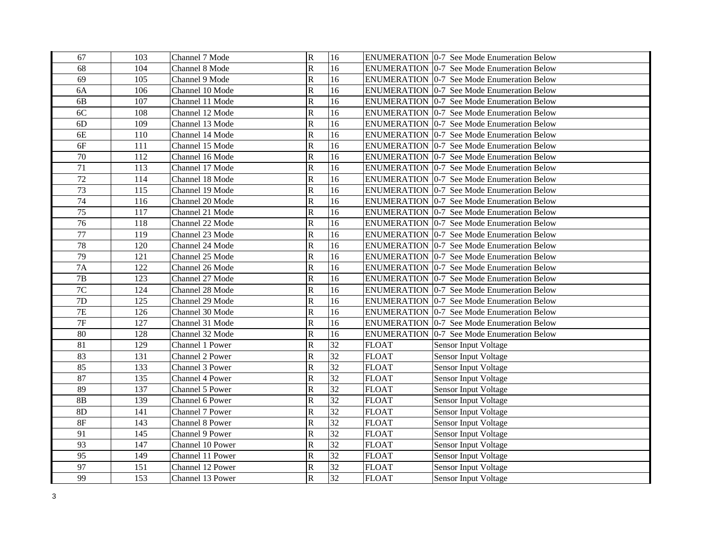| 67              | 103 | Channel 7 Mode   | $\overline{\mathsf{R}}$ | 16              |              | <b>ENUMERATION 0-7 See Mode Enumeration Below</b> |
|-----------------|-----|------------------|-------------------------|-----------------|--------------|---------------------------------------------------|
| 68              | 104 | Channel 8 Mode   | $\overline{\mathsf{R}}$ | 16              |              | ENUMERATION   0-7 See Mode Enumeration Below      |
| 69              | 105 | Channel 9 Mode   | $\overline{\mathsf{R}}$ | 16              |              | <b>ENUMERATION 0-7 See Mode Enumeration Below</b> |
| 6A              | 106 | Channel 10 Mode  | $\overline{\text{R}}$   | 16              |              | <b>ENUMERATION 0-7 See Mode Enumeration Below</b> |
| 6 <b>B</b>      | 107 | Channel 11 Mode  | $\overline{\text{R}}$   | 16              |              | <b>ENUMERATION 0-7 See Mode Enumeration Below</b> |
| 6C              | 108 | Channel 12 Mode  | $\overline{\mathsf{R}}$ | 16              |              | <b>ENUMERATION 0-7 See Mode Enumeration Below</b> |
| 6D              | 109 | Channel 13 Mode  | $\overline{\mathsf{R}}$ | 16              |              | <b>ENUMERATION 0-7 See Mode Enumeration Below</b> |
| 6E              | 110 | Channel 14 Mode  | $\overline{\mathsf{R}}$ | 16              |              | <b>ENUMERATION 0-7 See Mode Enumeration Below</b> |
| 6F              | 111 | Channel 15 Mode  | $\, {\bf R}$            | 16              |              | ENUMERATION 0-7 See Mode Enumeration Below        |
| $70\,$          | 112 | Channel 16 Mode  | ${\bf R}$               | 16              |              | <b>ENUMERATION 0-7 See Mode Enumeration Below</b> |
| $\overline{71}$ | 113 | Channel 17 Mode  | $\overline{\text{R}}$   | 16              |              | <b>ENUMERATION 0-7 See Mode Enumeration Below</b> |
| $\overline{72}$ | 114 | Channel 18 Mode  | $\overline{\text{R}}$   | 16              |              | <b>ENUMERATION 0-7 See Mode Enumeration Below</b> |
| 73              | 115 | Channel 19 Mode  | $\overline{\text{R}}$   | 16              |              | <b>ENUMERATION 0-7 See Mode Enumeration Below</b> |
| $\overline{74}$ | 116 | Channel 20 Mode  | $\overline{\mathsf{R}}$ | 16              |              | ENUMERATION 0-7 See Mode Enumeration Below        |
| $\overline{75}$ | 117 | Channel 21 Mode  | $\overline{\text{R}}$   | 16              |              | ENUMERATION 0-7 See Mode Enumeration Below        |
| 76              | 118 | Channel 22 Mode  | ${\bf R}$               | 16              |              | <b>ENUMERATION 0-7 See Mode Enumeration Below</b> |
| 77              | 119 | Channel 23 Mode  | $\overline{\mathsf{R}}$ | 16              |              | ENUMERATION 0-7 See Mode Enumeration Below        |
| 78              | 120 | Channel 24 Mode  | $\overline{\text{R}}$   | 16              |              | <b>ENUMERATION 0-7 See Mode Enumeration Below</b> |
| 79              | 121 | Channel 25 Mode  | $\overline{\mathsf{R}}$ | 16              |              | <b>ENUMERATION 0-7 See Mode Enumeration Below</b> |
| 7A              | 122 | Channel 26 Mode  | $\overline{\mathsf{R}}$ | 16              |              | ENUMERATION   0-7 See Mode Enumeration Below      |
| $7\mathrm{B}$   | 123 | Channel 27 Mode  | $\overline{\text{R}}$   | 16              |              | ENUMERATION 0-7 See Mode Enumeration Below        |
| $7\mathrm{C}$   | 124 | Channel 28 Mode  | ${\bf R}$               | 16              |              | <b>ENUMERATION 0-7 See Mode Enumeration Below</b> |
| 7D              | 125 | Channel 29 Mode  | $\overline{\mathbf{R}}$ | 16              |              | <b>ENUMERATION 0-7 See Mode Enumeration Below</b> |
| 7E              | 126 | Channel 30 Mode  | $\overline{\text{R}}$   | 16              |              | <b>ENUMERATION 0-7 See Mode Enumeration Below</b> |
| $\overline{7F}$ | 127 | Channel 31 Mode  | $\overline{R}$          | 16              |              | <b>ENUMERATION 0-7 See Mode Enumeration Below</b> |
| 80              | 128 | Channel 32 Mode  | $\mathbb{R}$            | 16              |              | <b>ENUMERATION 0-7 See Mode Enumeration Below</b> |
| $\overline{81}$ | 129 | Channel 1 Power  | $\overline{\text{R}}$   | $\overline{32}$ | <b>FLOAT</b> | Sensor Input Voltage                              |
| 83              | 131 | Channel 2 Power  | ${\bf R}$               | $\overline{32}$ | <b>FLOAT</b> | Sensor Input Voltage                              |
| 85              | 133 | Channel 3 Power  | $\overline{\mathbf{R}}$ | 32              | <b>FLOAT</b> | Sensor Input Voltage                              |
| 87              | 135 | Channel 4 Power  | $\mathbf R$             | $\overline{32}$ | <b>FLOAT</b> | Sensor Input Voltage                              |
| 89              | 137 | Channel 5 Power  | $\overline{\mathbf{R}}$ | 32              | <b>FLOAT</b> | Sensor Input Voltage                              |
| 8B              | 139 | Channel 6 Power  | $\overline{\text{R}}$   | 32              | <b>FLOAT</b> | Sensor Input Voltage                              |
| 8D              | 141 | Channel 7 Power  | $\overline{\text{R}}$   | 32              | <b>FLOAT</b> | Sensor Input Voltage                              |
| $8\mathrm{F}$   | 143 | Channel 8 Power  | $\overline{\text{R}}$   | 32              | <b>FLOAT</b> | Sensor Input Voltage                              |
| 91              | 145 | Channel 9 Power  | $\overline{\text{R}}$   | 32              | <b>FLOAT</b> | Sensor Input Voltage                              |
| 93              | 147 | Channel 10 Power | $\overline{\text{R}}$   | 32              | <b>FLOAT</b> | Sensor Input Voltage                              |
| 95              | 149 | Channel 11 Power | $\overline{\mathsf{R}}$ | 32              | <b>FLOAT</b> | Sensor Input Voltage                              |
| 97              | 151 | Channel 12 Power | $\mathbf R$             | 32              | <b>FLOAT</b> | Sensor Input Voltage                              |
| 99              | 153 | Channel 13 Power | $\overline{R}$          | $\overline{32}$ | <b>FLOAT</b> | <b>Sensor Input Voltage</b>                       |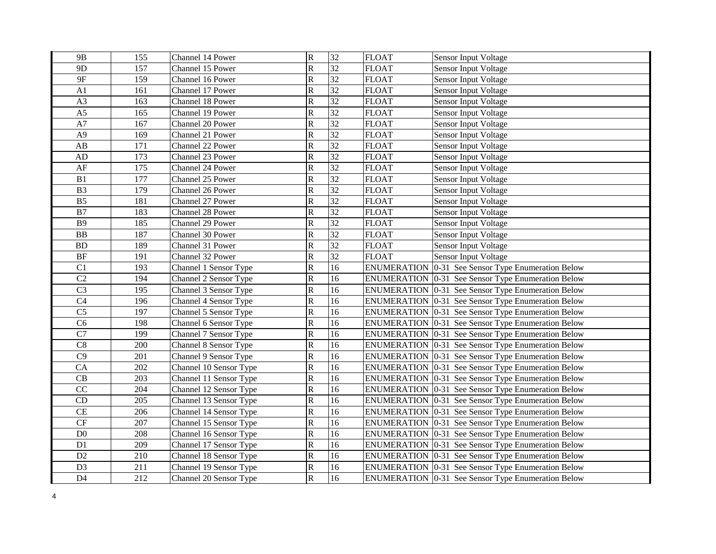| 9 <sub>B</sub>         | 155 | Channel 14 Power       | $\overline{\mathbf{R}}$   | 32              | <b>FLOAT</b>       | <b>Sensor Input Voltage</b>                               |
|------------------------|-----|------------------------|---------------------------|-----------------|--------------------|-----------------------------------------------------------|
| 9 <sub>D</sub>         | 157 | Channel 15 Power       | $\overline{\mathsf{R}}$   | $\overline{32}$ | <b>FLOAT</b>       | Sensor Input Voltage                                      |
| 9F                     | 159 | Channel 16 Power       | $\overline{\mathsf{R}}$   | $\overline{32}$ | <b>FLOAT</b>       | Sensor Input Voltage                                      |
| A1                     | 161 | Channel 17 Power       | $\overline{\mathbf{R}}$   | 32              | <b>FLOAT</b>       | Sensor Input Voltage                                      |
| A3                     | 163 | Channel 18 Power       | $\rm R$                   | $\overline{32}$ | <b>FLOAT</b>       | <b>Sensor Input Voltage</b>                               |
| A <sub>5</sub>         | 165 | Channel 19 Power       | ${\bf R}$                 | 32              | <b>FLOAT</b>       | <b>Sensor Input Voltage</b>                               |
| A7                     | 167 | Channel 20 Power       | $\overline{\mathbf{R}}$   | 32              | <b>FLOAT</b>       | <b>Sensor Input Voltage</b>                               |
| A <sub>9</sub>         | 169 | Channel 21 Power       | $\overline{\text{R}}$     | $\overline{32}$ | <b>FLOAT</b>       | Sensor Input Voltage                                      |
| $\mathbf{A}\mathbf{B}$ | 171 | Channel 22 Power       | $\overline{\mathsf{R}}$   | 32              | <b>FLOAT</b>       | <b>Sensor Input Voltage</b>                               |
| ${\rm AD}$             | 173 | Channel 23 Power       | $\overline{\text{R}}$     | 32              | <b>FLOAT</b>       | Sensor Input Voltage                                      |
| $\rm AF$               | 175 | Channel 24 Power       | $\overline{\text{R}}$     | $\overline{32}$ | <b>FLOAT</b>       | Sensor Input Voltage                                      |
| $\mathbf{B}1$          | 177 | Channel 25 Power       | $\ensuremath{\mathsf{R}}$ | $\overline{32}$ | <b>FLOAT</b>       | Sensor Input Voltage                                      |
| B <sub>3</sub>         | 179 | Channel 26 Power       | $\overline{\text{R}}$     | 32              | <b>FLOAT</b>       | Sensor Input Voltage                                      |
| B <sub>5</sub>         | 181 | Channel 27 Power       | $\overline{\mathsf{R}}$   | 32              | <b>FLOAT</b>       | Sensor Input Voltage                                      |
| B7                     | 183 | Channel 28 Power       | $\overline{\mathsf{R}}$   | 32              | <b>FLOAT</b>       | Sensor Input Voltage                                      |
| <b>B9</b>              | 185 | Channel 29 Power       | $\overline{\mathsf{R}}$   | $\overline{32}$ | <b>FLOAT</b>       | <b>Sensor Input Voltage</b>                               |
| <b>BB</b>              | 187 | Channel 30 Power       | $\rm R$                   | $\overline{32}$ | <b>FLOAT</b>       | <b>Sensor Input Voltage</b>                               |
| <b>BD</b>              | 189 | Channel 31 Power       | ${\bf R}$                 | 32              | <b>FLOAT</b>       | <b>Sensor Input Voltage</b>                               |
| $\rm BF$               | 191 | Channel 32 Power       | ${\bf R}$                 | 32              | <b>FLOAT</b>       | <b>Sensor Input Voltage</b>                               |
| C1                     | 193 | Channel 1 Sensor Type  | $\overline{\mathbf{R}}$   | 16              | <b>ENUMERATION</b> | 0-31 See Sensor Type Enumeration Below                    |
| C <sub>2</sub>         | 194 | Channel 2 Sensor Type  | $\overline{\mathbf{R}}$   | 16              | <b>ENUMERATION</b> | 0-31 See Sensor Type Enumeration Below                    |
| C <sub>3</sub>         | 195 | Channel 3 Sensor Type  | $\overline{\text{R}}$     | 16              |                    | ENUMERATION 0-31 See Sensor Type Enumeration Below        |
| C4                     | 196 | Channel 4 Sensor Type  | $\overline{\text{R}}$     | 16              |                    | ENUMERATION 0-31 See Sensor Type Enumeration Below        |
| C <sub>5</sub>         | 197 | Channel 5 Sensor Type  | $\overline{\mathsf{R}}$   | 16              |                    | ENUMERATION 0-31 See Sensor Type Enumeration Below        |
| C6                     | 198 | Channel 6 Sensor Type  | $\overline{\text{R}}$     | 16              |                    | ENUMERATION 0-31 See Sensor Type Enumeration Below        |
| $\overline{C7}$        | 199 | Channel 7 Sensor Type  | $\overline{\mathbf{R}}$   | 16              |                    | ENUMERATION 0-31 See Sensor Type Enumeration Below        |
| C8                     | 200 | Channel 8 Sensor Type  | $\overline{R}$            | 16              |                    | ENUMERATION 0-31 See Sensor Type Enumeration Below        |
| $\overline{C9}$        | 201 | Channel 9 Sensor Type  | $\overline{\mathsf{R}}$   | 16              |                    | ENUMERATION 0-31 See Sensor Type Enumeration Below        |
| CA                     | 202 | Channel 10 Sensor Type | $\overline{\mathbf{R}}$   | 16              |                    | ENUMERATION 0-31 See Sensor Type Enumeration Below        |
| CB                     | 203 | Channel 11 Sensor Type | $\rm R$                   | 16              |                    | ENUMERATION 0-31 See Sensor Type Enumeration Below        |
| CC                     | 204 | Channel 12 Sensor Type | $\overline{\text{R}}$     | 16              |                    | ENUMERATION 0-31 See Sensor Type Enumeration Below        |
| CD                     | 205 | Channel 13 Sensor Type | ${\bf R}$                 | 16              |                    | ENUMERATION 0-31 See Sensor Type Enumeration Below        |
| CE                     | 206 | Channel 14 Sensor Type | $\overline{\mathbf{R}}$   | 16              |                    | <b>ENUMERATION</b> 0-31 See Sensor Type Enumeration Below |
| $\cal{CF}$             | 207 | Channel 15 Sensor Type | $\overline{\text{R}}$     | 16              | <b>ENUMERATION</b> | 0-31 See Sensor Type Enumeration Below                    |
| $\rm D0$               | 208 | Channel 16 Sensor Type | $\ensuremath{\mathsf{R}}$ | 16              |                    | ENUMERATION 0-31 See Sensor Type Enumeration Below        |
| D1                     | 209 | Channel 17 Sensor Type | $\overline{\text{R}}$     | 16              |                    | ENUMERATION 0-31 See Sensor Type Enumeration Below        |
| $\mathbf{D}2$          | 210 | Channel 18 Sensor Type | $\overline{\mathbf{R}}$   | 16              |                    | ENUMERATION 0-31 See Sensor Type Enumeration Below        |
| D <sub>3</sub>         | 211 | Channel 19 Sensor Type | $\overline{\mathsf{R}}$   | 16              |                    | <b>ENUMERATION</b> 0-31 See Sensor Type Enumeration Below |
| D <sub>4</sub>         | 212 | Channel 20 Sensor Type | $\overline{\mathsf{R}}$   | 16              |                    | <b>ENUMERATION</b> 0-31 See Sensor Type Enumeration Below |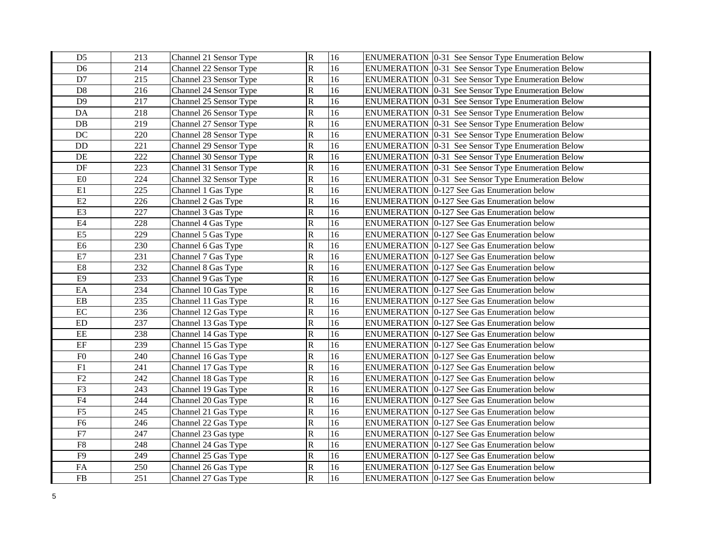| D <sub>5</sub> | 213 | Channel 21 Sensor Type | $\overline{\mathsf{R}}$ | 16 | <b>ENUMERATION</b> 0-31 See Sensor Type Enumeration Below |
|----------------|-----|------------------------|-------------------------|----|-----------------------------------------------------------|
| D <sub>6</sub> | 214 | Channel 22 Sensor Type | $\overline{\mathsf{R}}$ | 16 | <b>ENUMERATION</b> 0-31 See Sensor Type Enumeration Below |
| D7             | 215 | Channel 23 Sensor Type | $\overline{\mathsf{R}}$ | 16 | ENUMERATION   0-31 See Sensor Type Enumeration Below      |
| D <sub>8</sub> | 216 | Channel 24 Sensor Type | ${\bf R}$               | 16 | <b>ENUMERATION</b> 0-31 See Sensor Type Enumeration Below |
| D <sub>9</sub> | 217 | Channel 25 Sensor Type | $\mathbf R$             | 16 | <b>ENUMERATION</b> 0-31 See Sensor Type Enumeration Below |
| DA             | 218 | Channel 26 Sensor Type | $\overline{\mathsf{R}}$ | 16 | ENUMERATION 0-31 See Sensor Type Enumeration Below        |
| DB             | 219 | Channel 27 Sensor Type | $\mathbf R$             | 16 | <b>ENUMERATION</b> 0-31 See Sensor Type Enumeration Below |
| DC             | 220 | Channel 28 Sensor Type | $\mathbf R$             | 16 | <b>ENUMERATION</b> 0-31 See Sensor Type Enumeration Below |
| $\rm DD$       | 221 | Channel 29 Sensor Type | $\overline{\mathsf{R}}$ | 16 | <b>ENUMERATION</b> 0-31 See Sensor Type Enumeration Below |
| DE             | 222 | Channel 30 Sensor Type | ${\bf R}$               | 16 | <b>ENUMERATION</b> 0-31 See Sensor Type Enumeration Below |
| $\rm DF$       | 223 | Channel 31 Sensor Type | $\overline{\mathbf{R}}$ | 16 | <b>ENUMERATION</b> 0-31 See Sensor Type Enumeration Below |
| ${\rm E0}$     | 224 | Channel 32 Sensor Type | $\overline{\mathsf{R}}$ | 16 | ENUMERATION 0-31 See Sensor Type Enumeration Below        |
| E1             | 225 | Channel 1 Gas Type     | $\overline{\mathsf{R}}$ | 16 | ENUMERATION 0-127 See Gas Enumeration below               |
| E2             | 226 | Channel 2 Gas Type     | $\mathbf R$             | 16 | ENUMERATION 0-127 See Gas Enumeration below               |
| E3             | 227 | Channel 3 Gas Type     | $\overline{\mathsf{R}}$ | 16 | ENUMERATION 0-127 See Gas Enumeration below               |
| $\rm E4$       | 228 | Channel 4 Gas Type     | $\mathbf R$             | 16 | ENUMERATION 0-127 See Gas Enumeration below               |
| E <sub>5</sub> | 229 | Channel 5 Gas Type     | $\mathbf R$             | 16 | ENUMERATION 0-127 See Gas Enumeration below               |
| E <sub>6</sub> | 230 | Channel 6 Gas Type     | $\overline{\mathbf{R}}$ | 16 | ENUMERATION 0-127 See Gas Enumeration below               |
| $\rm E7$       | 231 | Channel 7 Gas Type     | $\overline{\mathsf{R}}$ | 16 | ENUMERATION 0-127 See Gas Enumeration below               |
| $\rm E8$       | 232 | Channel 8 Gas Type     | $\overline{\mathsf{R}}$ | 16 | ENUMERATION 0-127 See Gas Enumeration below               |
| E9             | 233 | Channel 9 Gas Type     | $\, {\bf R}$            | 16 | ENUMERATION 0-127 See Gas Enumeration below               |
| $\rm EA$       | 234 | Channel 10 Gas Type    | ${\bf R}$               | 16 | ENUMERATION 0-127 See Gas Enumeration below               |
| ${\rm EB}$     | 235 | Channel 11 Gas Type    | ${\bf R}$               | 16 | ENUMERATION 0-127 See Gas Enumeration below               |
| $\rm EC$       | 236 | Channel 12 Gas Type    | $\overline{\text{R}}$   | 16 | ENUMERATION   0-127 See Gas Enumeration below             |
| ${\rm ED}$     | 237 | Channel 13 Gas Type    | $\overline{\mathsf{R}}$ | 16 | ENUMERATION 0-127 See Gas Enumeration below               |
| $\rm{EE}$      | 238 | Channel 14 Gas Type    | $\overline{\mathsf{R}}$ | 16 | ENUMERATION 0-127 See Gas Enumeration below               |
| $\rm EF$       | 239 | Channel 15 Gas Type    | ${\bf R}$               | 16 | ENUMERATION 0-127 See Gas Enumeration below               |
| F <sub>0</sub> | 240 | Channel 16 Gas Type    | ${\bf R}$               | 16 | ENUMERATION 0-127 See Gas Enumeration below               |
| ${\rm F}1$     | 241 | Channel 17 Gas Type    | $\overline{\mathbf{R}}$ | 16 | ENUMERATION 0-127 See Gas Enumeration below               |
| F2             | 242 | Channel 18 Gas Type    | $\overline{\mathbf{R}}$ | 16 | <b>ENUMERATION 0-127 See Gas Enumeration below</b>        |
| F3             | 243 | Channel 19 Gas Type    | $\overline{\mathbf{R}}$ | 16 | ENUMERATION 0-127 See Gas Enumeration below               |
| F4             | 244 | Channel 20 Gas Type    | $\overline{\mathbf{R}}$ | 16 | ENUMERATION 0-127 See Gas Enumeration below               |
| F <sub>5</sub> | 245 | Channel 21 Gas Type    | $\overline{\mathsf{R}}$ | 16 | ENUMERATION   0-127 See Gas Enumeration below             |
| F <sub>6</sub> | 246 | Channel 22 Gas Type    | $\overline{\mathsf{R}}$ | 16 | ENUMERATION   0-127 See Gas Enumeration below             |
| ${\rm F}7$     | 247 | Channel 23 Gas type    | $\overline{\mathsf{R}}$ | 16 | <b>ENUMERATION</b> 0-127 See Gas Enumeration below        |
| ${\rm F}8$     | 248 | Channel 24 Gas Type    | $\overline{\text{R}}$   | 16 | ENUMERATION   0-127 See Gas Enumeration below             |
| F <sub>9</sub> | 249 | Channel 25 Gas Type    | $\overline{\mathsf{R}}$ | 16 | <b>ENUMERATION</b> 0-127 See Gas Enumeration below        |
| ${\rm FA}$     | 250 | Channel 26 Gas Type    | $\overline{\mathsf{R}}$ | 16 | ENUMERATION 0-127 See Gas Enumeration below               |
| ${\rm FB}$     | 251 | Channel 27 Gas Type    | $\overline{\mathsf{R}}$ | 16 | <b>ENUMERATION</b> 0-127 See Gas Enumeration below        |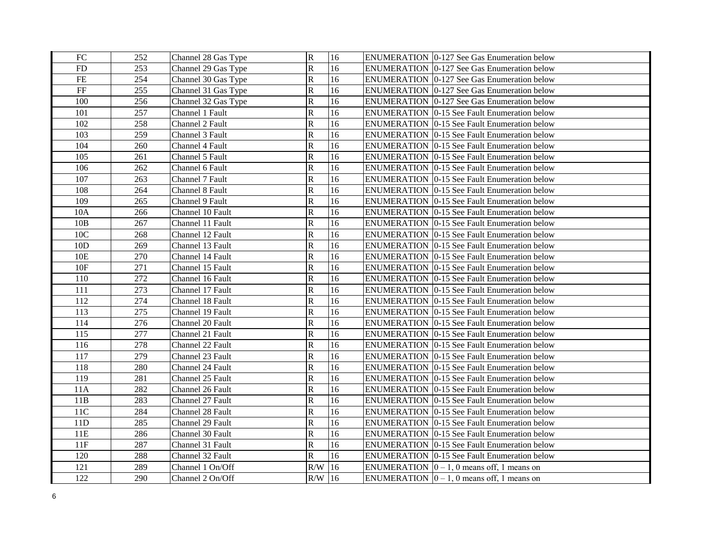| FC  | 252 | Channel 28 Gas Type | $\mathbb R$             | 16 | ENUMERATION 0-127 See Gas Enumeration below              |
|-----|-----|---------------------|-------------------------|----|----------------------------------------------------------|
| FD  | 253 | Channel 29 Gas Type | ${\bf R}$               | 16 | ENUMERATION   0-127 See Gas Enumeration below            |
| FE  | 254 | Channel 30 Gas Type | $\overline{\mathbf{R}}$ | 16 | ENUMERATION   0-127 See Gas Enumeration below            |
| FF  | 255 | Channel 31 Gas Type | ${\bf R}$               | 16 | ENUMERATION   0-127 See Gas Enumeration below            |
| 100 | 256 | Channel 32 Gas Type | ${\bf R}$               | 16 | ENUMERATION   0-127 See Gas Enumeration below            |
| 101 | 257 | Channel 1 Fault     | ${\bf R}$               | 16 | <b>ENUMERATION 0-15 See Fault Enumeration below</b>      |
| 102 | 258 | Channel 2 Fault     | $\mathbf R$             | 16 | <b>ENUMERATION 0-15 See Fault Enumeration below</b>      |
| 103 | 259 | Channel 3 Fault     | ${\bf R}$               | 16 | <b>ENUMERATION 0-15 See Fault Enumeration below</b>      |
| 104 | 260 | Channel 4 Fault     | ${\bf R}$               | 16 | <b>ENUMERATION 0-15 See Fault Enumeration below</b>      |
| 105 | 261 | Channel 5 Fault     | $\mathbb{R}$            | 16 | <b>ENUMERATION 0-15 See Fault Enumeration below</b>      |
| 106 | 262 | Channel 6 Fault     | ${\bf R}$               | 16 | <b>ENUMERATION 0-15 See Fault Enumeration below</b>      |
| 107 | 263 | Channel 7 Fault     | $\overline{\mathbf{R}}$ | 16 | <b>ENUMERATION 0-15 See Fault Enumeration below</b>      |
| 108 | 264 | Channel 8 Fault     | ${\bf R}$               | 16 | <b>ENUMERATION 10-15 See Fault Enumeration below</b>     |
| 109 | 265 | Channel 9 Fault     | ${\bf R}$               | 16 | <b>ENUMERATION</b> 0-15 See Fault Enumeration below      |
| 10A | 266 | Channel 10 Fault    | $\overline{\text{R}}$   | 16 | ENUMERATION 0-15 See Fault Enumeration below             |
| 10B | 267 | Channel 11 Fault    | ${\bf R}$               | 16 | <b>ENUMERATION 0-15 See Fault Enumeration below</b>      |
| 10C | 268 | Channel 12 Fault    | ${\bf R}$               | 16 | ENUMERATION 0-15 See Fault Enumeration below             |
| 10D | 269 | Channel 13 Fault    | ${\bf R}$               | 16 | <b>ENUMERATION 0-15 See Fault Enumeration below</b>      |
| 10E | 270 | Channel 14 Fault    | $\overline{\text{R}}$   | 16 | ENUMERATION   0-15 See Fault Enumeration below           |
| 10F | 271 | Channel 15 Fault    | $\mathbf R$             | 16 | <b>ENUMERATION</b> 0-15 See Fault Enumeration below      |
| 110 | 272 | Channel 16 Fault    | ${\bf R}$               | 16 | <b>ENUMERATION</b> 0-15 See Fault Enumeration below      |
| 111 | 273 | Channel 17 Fault    | ${\bf R}$               | 16 | <b>ENUMERATION 0-15 See Fault Enumeration below</b>      |
| 112 | 274 | Channel 18 Fault    | ${\bf R}$               | 16 | <b>ENUMERATION 0-15 See Fault Enumeration below</b>      |
| 113 | 275 | Channel 19 Fault    | ${\bf R}$               | 16 | ENUMERATION 0-15 See Fault Enumeration below             |
| 114 | 276 | Channel 20 Fault    | $\overline{\text{R}}$   | 16 | <b>ENUMERATION 0-15 See Fault Enumeration below</b>      |
| 115 | 277 | Channel 21 Fault    | ${\bf R}$               | 16 | <b>ENUMERATION 0-15 See Fault Enumeration below</b>      |
| 116 | 278 | Channel 22 Fault    | ${\bf R}$               | 16 | <b>ENUMERATION 0-15 See Fault Enumeration below</b>      |
| 117 | 279 | Channel 23 Fault    | ${\bf R}$               | 16 | <b>ENUMERATION 0-15 See Fault Enumeration below</b>      |
| 118 | 280 | Channel 24 Fault    | ${\bf R}$               | 16 | <b>ENUMERATION 0-15 See Fault Enumeration below</b>      |
| 119 | 281 | Channel 25 Fault    | ${\bf R}$               | 16 | <b>ENUMERATION 0-15 See Fault Enumeration below</b>      |
| 11A | 282 | Channel 26 Fault    | $\overline{\mathbf{R}}$ | 16 | ENUMERATION 0-15 See Fault Enumeration below             |
| 11B | 283 | Channel 27 Fault    | ${\bf R}$               | 16 | ENUMERATION 0-15 See Fault Enumeration below             |
| 11C | 284 | Channel 28 Fault    | ${\bf R}$               | 16 | ENUMERATION 0-15 See Fault Enumeration below             |
| 11D | 285 | Channel 29 Fault    | ${\bf R}$               | 16 | <b>ENUMERATION</b> 0-15 See Fault Enumeration below      |
| 11E | 286 | Channel 30 Fault    | ${\bf R}$               | 16 | <b>ENUMERATION</b> 0-15 See Fault Enumeration below      |
| 11F | 287 | Channel 31 Fault    | $\rm R$                 | 16 | <b>ENUMERATION 0-15 See Fault Enumeration below</b>      |
| 120 | 288 | Channel 32 Fault    | $\overline{\mathbf{R}}$ | 16 | <b>ENUMERATION 10-15 See Fault Enumeration below</b>     |
| 121 | 289 | Channel 1 On/Off    | R/W                     | 16 | ENUMERATION $ 0 - 1$ , 0 means off, 1 means on           |
| 122 | 290 | Channel 2 On/Off    | $R/W$ 16                |    | ENUMERATION $\vert 0-1, 0 \rangle$ means off, 1 means on |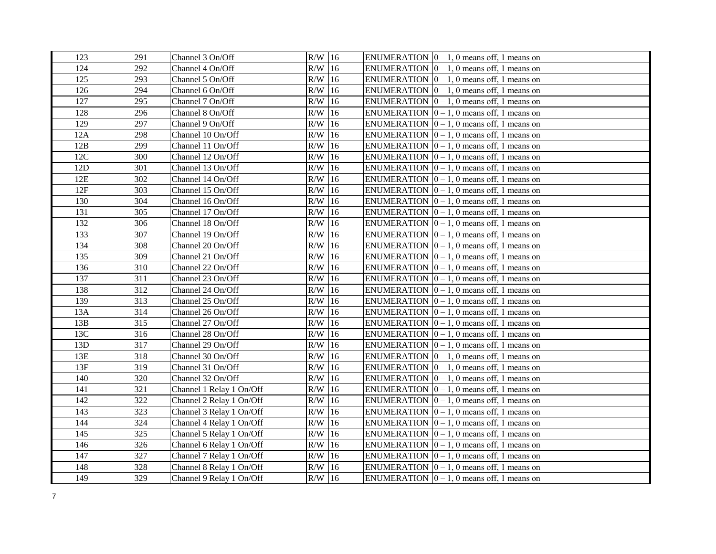| 123 | 291 | Channel 3 On/Off         | $R/W$ 16 | ENUMERATION $\vert 0-1, 0 \rangle$ means off, 1 means on   |
|-----|-----|--------------------------|----------|------------------------------------------------------------|
| 124 | 292 | Channel 4 On/Off         | $R/W$ 16 | ENUMERATION $ 0 - 1$ , 0 means off, 1 means on             |
| 125 | 293 | Channel 5 On/Off         | $R/W$ 16 | ENUMERATION $ 0 - 1$ , 0 means off, 1 means on             |
| 126 | 294 | Channel 6 On/Off         | $R/W$ 16 | ENUMERATION $[0 - 1, 0$ means off, 1 means on              |
| 127 | 295 | Channel 7 On/Off         | $R/W$ 16 | ENUMERATION $ 0 - 1$ , 0 means off, 1 means on             |
| 128 | 296 | Channel 8 On/Off         | $R/W$ 16 | ENUMERATION $[0 - 1, 0$ means off, 1 means on              |
| 129 | 297 | Channel 9 On/Off         | $R/W$ 16 | ENUMERATION $\vert 0-1, 0 \rangle$ means off, 1 means on   |
| 12A | 298 | Channel 10 On/Off        | $R/W$ 16 | ENUMERATION $ 0 - 1$ , 0 means off, 1 means on             |
| 12B | 299 | Channel 11 On/Off        | $R/W$ 16 | ENUMERATION $ 0 - 1$ , 0 means off, 1 means on             |
| 12C | 300 | Channel 12 On/Off        | $R/W$ 16 | ENUMERATION $[0 - 1, 0$ means off, 1 means on              |
| 12D | 301 | Channel 13 On/Off        | $R/W$ 16 | ENUMERATION $ 0 - 1$ , 0 means off, 1 means on             |
| 12E | 302 | Channel 14 On/Off        | $R/W$ 16 | ENUMERATION $[0 - 1, 0$ means off, 1 means on              |
| 12F | 303 | Channel 15 On/Off        | $R/W$ 16 | ENUMERATION $[0 - 1, 0$ means off, 1 means on              |
| 130 | 304 | Channel 16 On/Off        | $R/W$ 16 | ENUMERATION $[0 - 1, 0$ means off, 1 means on              |
| 131 | 305 | Channel 17 On/Off        | $R/W$ 16 | ENUMERATION $ 0-1, 0 $ means off, 1 means on               |
| 132 | 306 | Channel 18 On/Off        | $R/W$ 16 | ENUMERATION $[0 - 1, 0$ means off, 1 means on              |
| 133 | 307 | Channel 19 On/Off        | $R/W$ 16 | ENUMERATION $[0 - 1, 0$ means off, 1 means on              |
| 134 | 308 | Channel 20 On/Off        | $R/W$ 16 | ENUMERATION $ 0-1, 0 $ means off, 1 means on               |
| 135 | 309 | Channel 21 On/Off        | $R/W$ 16 | ENUMERATION $\vert 0-1, 0 \rangle$ means off, 1 means on   |
| 136 | 310 | Channel 22 On/Off        | $R/W$ 16 | ENUMERATION $[0 - 1, 0$ means off, 1 means on              |
| 137 | 311 | Channel 23 On/Off        | $R/W$ 16 | ENUMERATION $[0 - 1, 0$ means off, 1 means on              |
| 138 | 312 | Channel 24 On/Off        | $R/W$ 16 | ENUMERATION $ 0 - 1$ , 0 means off, 1 means on             |
| 139 | 313 | Channel 25 On/Off        | $R/W$ 16 | ENUMERATION $ 0-1, 0 $ means off, 1 means on               |
| 13A | 314 | Channel 26 On/Off        | $R/W$ 16 | ENUMERATION $ 0-1, 0 $ means off, 1 means on               |
| 13B | 315 | Channel 27 On/Off        | $R/W$ 16 | ENUMERATION $ 0-1, 0 $ means off, 1 means on               |
| 13C | 316 | Channel 28 On/Off        | $R/W$ 16 | ENUMERATION $[0 - 1, 0$ means off, 1 means on              |
| 13D | 317 | Channel 29 On/Off        | $R/W$ 16 | ENUMERATION $\vert 0 - 1, 0 \rangle$ means off, 1 means on |
| 13E | 318 | Channel 30 On/Off        | $R/W$ 16 | ENUMERATION $\vert 0 - 1, 0 \rangle$ means off, 1 means on |
| 13F | 319 | Channel 31 On/Off        | $R/W$ 16 | ENUMERATION $[0 - 1, 0$ means off, 1 means on              |
| 140 | 320 | Channel 32 On/Off        | $R/W$ 16 | ENUMERATION $\vert 0-1, 0 \vert$ means off, 1 means on     |
| 141 | 321 | Channel 1 Relay 1 On/Off | $R/W$ 16 | ENUMERATION $[0 - 1, 0$ means off, 1 means on              |
| 142 | 322 | Channel 2 Relay 1 On/Off | $R/W$ 16 | ENUMERATION $[0 - 1, 0$ means off, 1 means on              |
| 143 | 323 | Channel 3 Relay 1 On/Off | $R/W$ 16 | ENUMERATION $[0 - 1, 0$ means off, 1 means on              |
| 144 | 324 | Channel 4 Relay 1 On/Off | $R/W$ 16 | ENUMERATION $[0 - 1, 0$ means off, 1 means on              |
| 145 | 325 | Channel 5 Relay 1 On/Off | $R/W$ 16 | ENUMERATION $ 0-1, 0 $ means off, 1 means on               |
| 146 | 326 | Channel 6 Relay 1 On/Off | $R/W$ 16 | ENUMERATION $ 0-1, 0 $ means off, 1 means on               |
| 147 | 327 | Channel 7 Relay 1 On/Off | $R/W$ 16 | ENUMERATION $ 0-1, 0 $ means off, 1 means on               |
| 148 | 328 | Channel 8 Relay 1 On/Off | $R/W$ 16 | ENUMERATION $[0 - 1, 0$ means off, 1 means on              |
| 149 | 329 | Channel 9 Relay 1 On/Off | $R/W$ 16 | ENUMERATION $ 0 - 1$ , 0 means off, 1 means on             |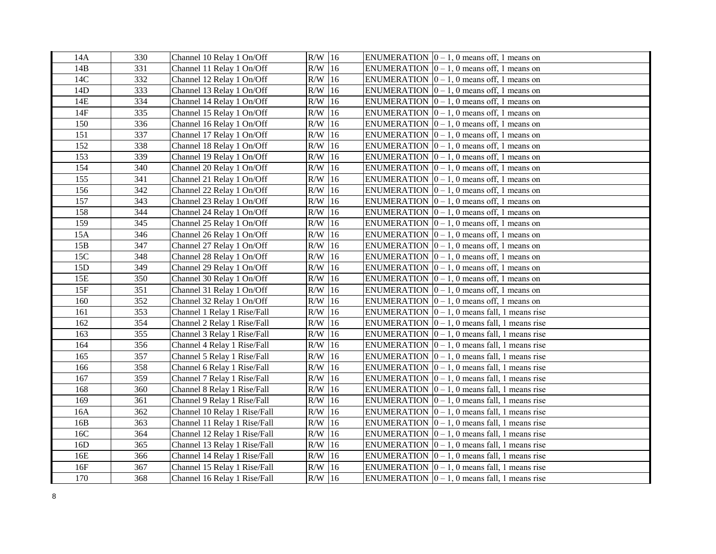| 14A             | 330 | Channel 10 Relay 1 On/Off    | $R/W$ 16  |    | ENUMERATION $ 0 - 1$ , 0 means off, 1 means on              |
|-----------------|-----|------------------------------|-----------|----|-------------------------------------------------------------|
| 14B             | 331 | Channel 11 Relay 1 On/Off    | $R/W$ 16  |    | ENUMERATION $[0 - 1, 0$ means off, 1 means on               |
| 14C             | 332 | Channel 12 Relay 1 On/Off    | $R/W$ 16  |    | ENUMERATION $[0 - 1, 0$ means off, 1 means on               |
| 14D             | 333 | Channel 13 Relay 1 On/Off    | $R/W$ 16  |    | ENUMERATION $[0 - 1, 0$ means off, 1 means on               |
| 14E             | 334 | Channel 14 Relay 1 On/Off    | $R/W$ 16  |    | ENUMERATION $[0 - 1, 0$ means off, 1 means on               |
| 14F             | 335 | Channel 15 Relay 1 On/Off    | $R/W$ 16  |    | ENUMERATION $ 0-1, 0 $ means off, 1 means on                |
| 150             | 336 | Channel 16 Relay 1 On/Off    | R/W       | 16 | ENUMERATION $[0 - 1, 0$ means off, 1 means on               |
| 151             | 337 | Channel 17 Relay 1 On/Off    | R/W       | 16 | ENUMERATION $[0 - 1, 0$ means off, 1 means on               |
| 152             | 338 | Channel 18 Relay 1 On/Off    | R/W       | 16 | ENUMERATION $[0 - 1, 0$ means off, 1 means on               |
| 153             | 339 | Channel 19 Relay 1 On/Off    | R/W       | 16 | ENUMERATION $[0 - 1, 0$ means off, 1 means on               |
| 154             | 340 | Channel 20 Relay 1 On/Off    | R/W       | 16 | ENUMERATION $[0 - 1, 0$ means off, 1 means on               |
| 155             | 341 | Channel 21 Relay 1 On/Off    | R/W       | 16 | ENUMERATION $[0 - 1, 0$ means off, 1 means on               |
| 156             | 342 | Channel 22 Relay 1 On/Off    | R/W       | 16 | ENUMERATION $[0 - 1, 0$ means off, 1 means on               |
| 157             | 343 | Channel 23 Relay 1 On/Off    | $R/W$ 16  |    | ENUMERATION $[0 - 1, 0$ means off, 1 means on               |
| 158             | 344 | Channel 24 Relay 1 On/Off    | $R/W$ 16  |    | ENUMERATION $ 0-1, 0 $ means off, 1 means on                |
| 159             | 345 | Channel 25 Relay 1 On/Off    | $R/W$ 16  |    | ENUMERATION $[0 - 1, 0$ means off, 1 means on               |
| 15A             | 346 | Channel 26 Relay 1 On/Off    | $R/W$ 16  |    | ENUMERATION $[0 - 1, 0$ means off, 1 means on               |
| 15B             | 347 | Channel 27 Relay 1 On/Off    | R/W       | 16 | ENUMERATION $ 0-1, 0 $ means off, 1 means on                |
| 15C             | 348 | Channel 28 Relay 1 On/Off    | $R/W$ 16  |    | ENUMERATION $[0 - 1, 0$ means off, 1 means on               |
| 15D             | 349 | Channel 29 Relay 1 On/Off    | R/W       | 16 | ENUMERATION $ 0-1, 0 $ means off, 1 means on                |
| 15E             | 350 | Channel 30 Relay 1 On/Off    | $\rm R/W$ | 16 | ENUMERATION $ 0 - 1$ , 0 means off, 1 means on              |
| 15F             | 351 | Channel 31 Relay 1 On/Off    | $R/W$ 16  |    | ENUMERATION $[0 - 1, 0$ means off, 1 means on               |
| 160             | 352 | Channel 32 Relay 1 On/Off    | $R/W$ 16  |    | ENUMERATION $[0 - 1, 0$ means off, 1 means on               |
| 161             | 353 | Channel 1 Relay 1 Rise/Fall  | $R/W$ 16  |    | ENUMERATION $[0 - 1, 0$ means fall, 1 means rise            |
| 162             | 354 | Channel 2 Relay 1 Rise/Fall  | $R/W$ 16  |    | ENUMERATION $\vert 0-1, 0 \rangle$ means fall, 1 means rise |
| 163             | 355 | Channel 3 Relay 1 Rise/Fall  | $R/W$ 16  |    | ENUMERATION $\vert 0-1, 0 \vert$ means fall, 1 means rise   |
| 164             | 356 | Channel 4 Relay 1 Rise/Fall  | $R/W$ 16  |    | ENUMERATION $\vert 0-1, 0 \rangle$ means fall, 1 means rise |
| 165             | 357 | Channel 5 Relay 1 Rise/Fall  | $R/W$ 16  |    | ENUMERATION $ 0 - 1$ , 0 means fall, 1 means rise           |
| 166             | 358 | Channel 6 Relay 1 Rise/Fall  | $R/W$ 16  |    | ENUMERATION $ 0 - 1$ , 0 means fall, 1 means rise           |
| 167             | 359 | Channel 7 Relay 1 Rise/Fall  | $R/W$ 16  |    | ENUMERATION $\vert 0-1, 0 \vert$ means fall, 1 means rise   |
| 168             | 360 | Channel 8 Relay 1 Rise/Fall  | R/W       | 16 | ENUMERATION $\vert 0-1, 0 \vert$ means fall, 1 means rise   |
| 169             | 361 | Channel 9 Relay 1 Rise/Fall  | R/W       | 16 | ENUMERATION $\vert 0-1, 0 \vert$ means fall, 1 means rise   |
| 16A             | 362 | Channel 10 Relay 1 Rise/Fall | $R/W$ 16  |    | ENUMERATION $ 0 - 1$ , 0 means fall, 1 means rise           |
| 16B             | 363 | Channel 11 Relay 1 Rise/Fall | $R/W$ 16  |    | ENUMERATION $ 0 - 1$ , 0 means fall, 1 means rise           |
| 16C             | 364 | Channel 12 Relay 1 Rise/Fall | $R/W$ 16  |    | ENUMERATION $ 0 - 1$ , 0 means fall, 1 means rise           |
| 16 <sub>D</sub> | 365 | Channel 13 Relay 1 Rise/Fall | $R/W$ 16  |    | ENUMERATION $[0 - 1, 0$ means fall, 1 means rise            |
| 16E             | 366 | Channel 14 Relay 1 Rise/Fall | R/W 16    |    | ENUMERATION $[0 - 1, 0$ means fall, 1 means rise            |
| 16F             | 367 | Channel 15 Relay 1 Rise/Fall | R/W       | 16 | ENUMERATION $ 0 - 1$ , 0 means fall, 1 means rise           |
| 170             | 368 | Channel 16 Relay 1 Rise/Fall | $R/W$ 16  |    | ENUMERATION $ 0 - 1$ , 0 means fall, 1 means rise           |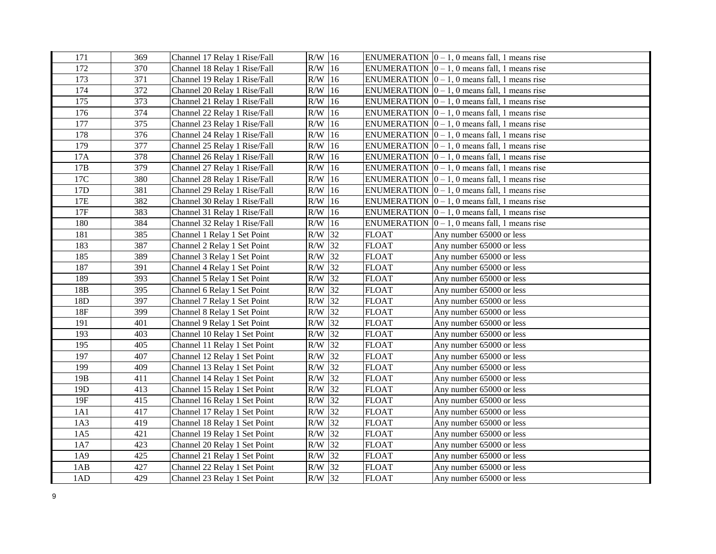| 171             | 369 | Channel 17 Relay 1 Rise/Fall | $R/W$ 16 |    |              | ENUMERATION $ 0 - 1$ , 0 means fall, 1 means rise           |
|-----------------|-----|------------------------------|----------|----|--------------|-------------------------------------------------------------|
| 172             | 370 | Channel 18 Relay 1 Rise/Fall | $R/W$ 16 |    |              | ENUMERATION $ 0 - 1$ , 0 means fall, 1 means rise           |
| 173             | 371 | Channel 19 Relay 1 Rise/Fall | $R/W$ 16 |    |              | ENUMERATION $ 0 - 1$ , 0 means fall, 1 means rise           |
| 174             | 372 | Channel 20 Relay 1 Rise/Fall | $R/W$ 16 |    |              | ENUMERATION $ 0 - 1$ , 0 means fall, 1 means rise           |
| 175             | 373 | Channel 21 Relay 1 Rise/Fall | $R/W$ 16 |    |              | ENUMERATION $[0 - 1, 0$ means fall, 1 means rise            |
| 176             | 374 | Channel 22 Relay 1 Rise/Fall | $R/W$ 16 |    |              | ENUMERATION $ 0 - 1$ , 0 means fall, 1 means rise           |
| 177             | 375 | Channel 23 Relay 1 Rise/Fall | $R/W$ 16 |    |              | ENUMERATION $ 0 - 1$ , 0 means fall, 1 means rise           |
| 178             | 376 | Channel 24 Relay 1 Rise/Fall | $R/W$ 16 |    |              | ENUMERATION $ 0 - 1$ , 0 means fall, 1 means rise           |
| 179             | 377 | Channel 25 Relay 1 Rise/Fall | $R/W$ 16 |    |              | ENUMERATION $ 0 - 1$ , 0 means fall, 1 means rise           |
| 17A             | 378 | Channel 26 Relay 1 Rise/Fall | $R/W$ 16 |    |              | ENUMERATION $ 0 - 1$ , 0 means fall, 1 means rise           |
| 17B             | 379 | Channel 27 Relay 1 Rise/Fall | $R/W$ 16 |    |              | ENUMERATION $[0 - 1, 0$ means fall, 1 means rise            |
| 17C             | 380 | Channel 28 Relay 1 Rise/Fall | $R/W$ 16 |    |              | ENUMERATION $[0 - 1, 0$ means fall, 1 means rise            |
| 17D             | 381 | Channel 29 Relay 1 Rise/Fall | $R/W$ 16 |    |              | ENUMERATION $[0 - 1, 0$ means fall, 1 means rise            |
| 17E             | 382 | Channel 30 Relay 1 Rise/Fall | $R/W$ 16 |    |              | ENUMERATION $\vert 0-1, 0 \rangle$ means fall, 1 means rise |
| 17F             | 383 | Channel 31 Relay 1 Rise/Fall | $R/W$ 16 |    |              | ENUMERATION $ 0 - 1$ , 0 means fall, 1 means rise           |
| 180             | 384 | Channel 32 Relay 1 Rise/Fall | $R/W$ 16 |    |              | ENUMERATION $\vert 0-1, 0 \rangle$ means fall, 1 means rise |
| 181             | 385 | Channel 1 Relay 1 Set Point  | $R/W$ 32 |    | <b>FLOAT</b> | Any number 65000 or less                                    |
| 183             | 387 | Channel 2 Relay 1 Set Point  | $R/W$ 32 |    | <b>FLOAT</b> | Any number 65000 or less                                    |
| 185             | 389 | Channel 3 Relay 1 Set Point  | R/W      | 32 | <b>FLOAT</b> | Any number 65000 or less                                    |
| 187             | 391 | Channel 4 Relay 1 Set Point  | $R/W$ 32 |    | <b>FLOAT</b> | Any number 65000 or less                                    |
| 189             | 393 | Channel 5 Relay 1 Set Point  | R/W 32   |    | <b>FLOAT</b> | Any number 65000 or less                                    |
| 18B             | 395 | Channel 6 Relay 1 Set Point  | $R/W$ 32 |    | <b>FLOAT</b> | Any number 65000 or less                                    |
| 18D             | 397 | Channel 7 Relay 1 Set Point  | $R/W$ 32 |    | <b>FLOAT</b> | Any number 65000 or less                                    |
| 18F             | 399 | Channel 8 Relay 1 Set Point  | $R/W$ 32 |    | FLOAT        | Any number 65000 or less                                    |
| 191             | 401 | Channel 9 Relay 1 Set Point  | R/W 32   |    | <b>FLOAT</b> | Any number 65000 or less                                    |
| 193             | 403 | Channel 10 Relay 1 Set Point | $R/W$ 32 |    | <b>FLOAT</b> | Any number 65000 or less                                    |
| 195             | 405 | Channel 11 Relay 1 Set Point | $R/W$ 32 |    | <b>FLOAT</b> | Any number 65000 or less                                    |
| 197             | 407 | Channel 12 Relay 1 Set Point | $R/W$ 32 |    | <b>FLOAT</b> | Any number 65000 or less                                    |
| 199             | 409 | Channel 13 Relay 1 Set Point | $R/W$ 32 |    | <b>FLOAT</b> | Any number 65000 or less                                    |
| 19 <sub>B</sub> | 411 | Channel 14 Relay 1 Set Point | $R/W$ 32 |    | <b>FLOAT</b> | Any number 65000 or less                                    |
| 19D             | 413 | Channel 15 Relay 1 Set Point | R/W      | 32 | <b>FLOAT</b> | Any number 65000 or less                                    |
| 19F             | 415 | Channel 16 Relay 1 Set Point | $R/W$ 32 |    | <b>FLOAT</b> | Any number 65000 or less                                    |
| 1A1             | 417 | Channel 17 Relay 1 Set Point | R/W 32   |    | <b>FLOAT</b> | Any number 65000 or less                                    |
| 1A3             | 419 | Channel 18 Relay 1 Set Point | $R/W$ 32 |    | <b>FLOAT</b> | Any number 65000 or less                                    |
| 1A5             | 421 | Channel 19 Relay 1 Set Point | $R/W$ 32 |    | <b>FLOAT</b> | Any number 65000 or less                                    |
| 1A7             | 423 | Channel 20 Relay 1 Set Point | $R/W$ 32 |    | <b>FLOAT</b> | Any number 65000 or less                                    |
| 1A9             | 425 | Channel 21 Relay 1 Set Point | $R/W$ 32 |    | <b>FLOAT</b> | Any number 65000 or less                                    |
| 1AB             | 427 | Channel 22 Relay 1 Set Point | $R/W$ 32 |    | <b>FLOAT</b> | Any number 65000 or less                                    |
| 1AD             | 429 | Channel 23 Relay 1 Set Point | $R/W$ 32 |    | <b>FLOAT</b> | Any number 65000 or less                                    |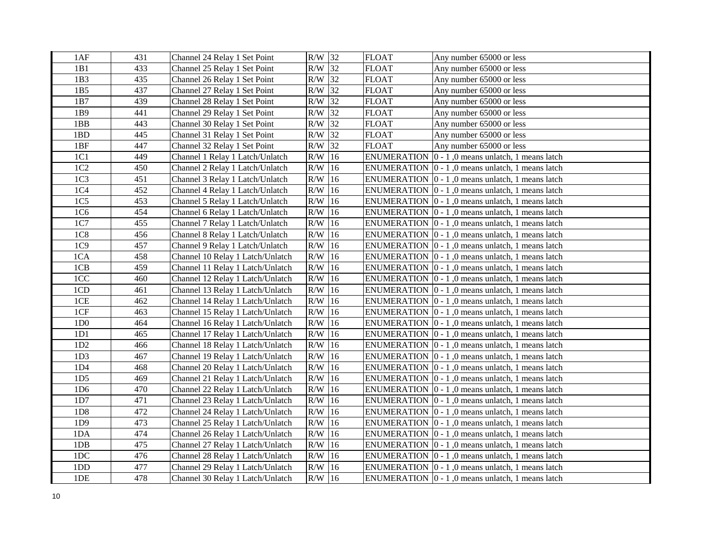| 1AF             | 431 | Channel 24 Relay 1 Set Point     | R/W 32    |               | <b>FLOAT</b>       | Any number 65000 or less                                         |
|-----------------|-----|----------------------------------|-----------|---------------|--------------------|------------------------------------------------------------------|
| 1B1             | 433 | Channel 25 Relay 1 Set Point     | $R/W$ 32  |               | <b>FLOAT</b>       | Any number 65000 or less                                         |
| 1B3             | 435 | Channel 26 Relay 1 Set Point     | $R/W$ 32  |               | <b>FLOAT</b>       | Any number 65000 or less                                         |
| 1B5             | 437 | Channel 27 Relay 1 Set Point     | $R/W$ 32  |               | <b>FLOAT</b>       | Any number 65000 or less                                         |
| 1B7             | 439 | Channel 28 Relay 1 Set Point     | $R/W$ 32  |               | <b>FLOAT</b>       | Any number 65000 or less                                         |
| 1B9             | 441 | Channel 29 Relay 1 Set Point     | R/W       | 32            | <b>FLOAT</b>       | Any number 65000 or less                                         |
| 1BB             | 443 | Channel 30 Relay 1 Set Point     | R/W       | 32            | <b>FLOAT</b>       | Any number 65000 or less                                         |
| 1BD             | 445 | Channel 31 Relay 1 Set Point     | R/W 32    |               | <b>FLOAT</b>       | Any number 65000 or less                                         |
| 1BF             | 447 | Channel 32 Relay 1 Set Point     | $R/W$ 32  |               | <b>FLOAT</b>       | Any number 65000 or less                                         |
| 1C1             | 449 | Channel 1 Relay 1 Latch/Unlatch  | R/W       | $ 16\rangle$  | <b>ENUMERATION</b> | $ 0 - 1 $ , 0 means unlatch, 1 means latch                       |
| 1C2             | 450 | Channel 2 Relay 1 Latch/Unlatch  | R/W       | 16            |                    | ENUMERATION $ 0 - 1 $ , 0 means unlatch, 1 means latch           |
| 1C <sub>3</sub> | 451 | Channel 3 Relay 1 Latch/Unlatch  | R/W       | 16            |                    | ENUMERATION 0 - 1,0 means unlatch, 1 means latch                 |
| 1C4             | 452 | Channel 4 Relay 1 Latch/Unlatch  | R/W       | 16            |                    | ENUMERATION  0 - 1,0 means unlatch, 1 means latch                |
| 1C <sub>5</sub> | 453 | Channel 5 Relay 1 Latch/Unlatch  | R/W       | 16            |                    | ENUMERATION $ 0 - 1 $ , 0 means unlatch, 1 means latch           |
| 1C6             | 454 | Channel 6 Relay 1 Latch/Unlatch  | $R/W$ 16  |               |                    | ENUMERATION $ 0 - 1 $ , 0 means unlatch, 1 means latch           |
| 1C7             | 455 | Channel 7 Relay 1 Latch/Unlatch  | $R/W$ 16  |               |                    | ENUMERATION $\vert 0 - 1 \vert$ , 0 means unlatch, 1 means latch |
| 1C8             | 456 | Channel 8 Relay 1 Latch/Unlatch  | R/W       | 16            |                    | ENUMERATION $\vert 0 - 1 \vert$ , 0 means unlatch, 1 means latch |
| 1C9             | 457 | Channel 9 Relay 1 Latch/Unlatch  | R/W       | 16            |                    | ENUMERATION 0 - 1,0 means unlatch, 1 means latch                 |
| 1CA             | 458 | Channel 10 Relay 1 Latch/Unlatch | R/W       | <sup>16</sup> |                    | ENUMERATION $ 0 - 1 $ , 0 means unlatch, 1 means latch           |
| 1CB             | 459 | Channel 11 Relay 1 Latch/Unlatch | R/W       | 16            |                    | ENUMERATION $\vert 0 - 1 \vert$ , 0 means unlatch, 1 means latch |
| 1CC             | 460 | Channel 12 Relay 1 Latch/Unlatch | R/W       | 16            |                    | ENUMERATION $\vert 0 - 1 \vert$ , 0 means unlatch, 1 means latch |
| 1CD             | 461 | Channel 13 Relay 1 Latch/Unlatch | R/W       | 16            |                    | ENUMERATION $\vert 0 - 1 \vert$ , 0 means unlatch, 1 means latch |
| 1CE             | 462 | Channel 14 Relay 1 Latch/Unlatch | R/W       | 16            |                    | ENUMERATION $ 0 - 1 $ , 0 means unlatch, 1 means latch           |
| 1CF             | 463 | Channel 15 Relay 1 Latch/Unlatch | R/W       | 16            |                    | ENUMERATION 0 - 1,0 means unlatch, 1 means latch                 |
| 1D <sub>0</sub> | 464 | Channel 16 Relay 1 Latch/Unlatch | $\rm R/W$ | 16            |                    | ENUMERATION $ 0 - 1 $ , 0 means unlatch, 1 means latch           |
| 1D1             | 465 | Channel 17 Relay 1 Latch/Unlatch | $R/W$ 16  |               |                    | ENUMERATION $ 0 - 1 $ , 0 means unlatch, 1 means latch           |
| 1D2             | 466 | Channel 18 Relay 1 Latch/Unlatch | $R/W$ 16  |               |                    | ENUMERATION $\vert 0 - 1 \vert$ , 0 means unlatch, 1 means latch |
| 1D <sub>3</sub> | 467 | Channel 19 Relay 1 Latch/Unlatch | $R/W$ 16  |               |                    | ENUMERATION $ 0 - 1 $ , 0 means unlatch, 1 means latch           |
| 1D4             | 468 | Channel 20 Relay 1 Latch/Unlatch | $R/W$ 16  |               |                    | ENUMERATION $\vert 0 - 1 \vert$ , 0 means unlatch, 1 means latch |
| 1D <sub>5</sub> | 469 | Channel 21 Relay 1 Latch/Unlatch | $R/W$ 16  |               |                    | ENUMERATION $ 0 - 1 $ , 0 means unlatch, 1 means latch           |
| 1D <sub>6</sub> | 470 | Channel 22 Relay 1 Latch/Unlatch | R/W       | 16            |                    | ENUMERATION $ 0 - 1 $ , 0 means unlatch, 1 means latch           |
| 1D7             | 471 | Channel 23 Relay 1 Latch/Unlatch | R/W       | 16            |                    | ENUMERATION $\vert 0 - 1 \vert$ , 0 means unlatch, 1 means latch |
| 1D <sub>8</sub> | 472 | Channel 24 Relay 1 Latch/Unlatch | R/W 16    |               |                    | ENUMERATION $ 0 - 1 $ , 0 means unlatch, 1 means latch           |
| 1D9             | 473 | Channel 25 Relay 1 Latch/Unlatch | R/W       | 16            |                    | ENUMERATION $\vert 0 - 1 \vert$ , 0 means unlatch, 1 means latch |
| 1DA             | 474 | Channel 26 Relay 1 Latch/Unlatch | R/W       | $ 16\rangle$  |                    | ENUMERATION $ 0 - 1 $ , 0 means unlatch, 1 means latch           |
| 1DB             | 475 | Channel 27 Relay 1 Latch/Unlatch | R/W       | 16            |                    | ENUMERATION $ 0 - 1 $ , 0 means unlatch, 1 means latch           |
| 1DC             | 476 | Channel 28 Relay 1 Latch/Unlatch | R/W       | 16            |                    | ENUMERATION $\vert 0 - 1 \vert$ , 0 means unlatch, 1 means latch |
| 1DD             | 477 | Channel 29 Relay 1 Latch/Unlatch | R/W       | $ 16\rangle$  |                    | ENUMERATION $\vert 0 - 1 \vert$ , 0 means unlatch, 1 means latch |
| 1 <sub>DE</sub> | 478 | Channel 30 Relay 1 Latch/Unlatch | $R/W$ 16  |               |                    | ENUMERATION $\vert 0 - 1 \vert$ , 0 means unlatch, 1 means latch |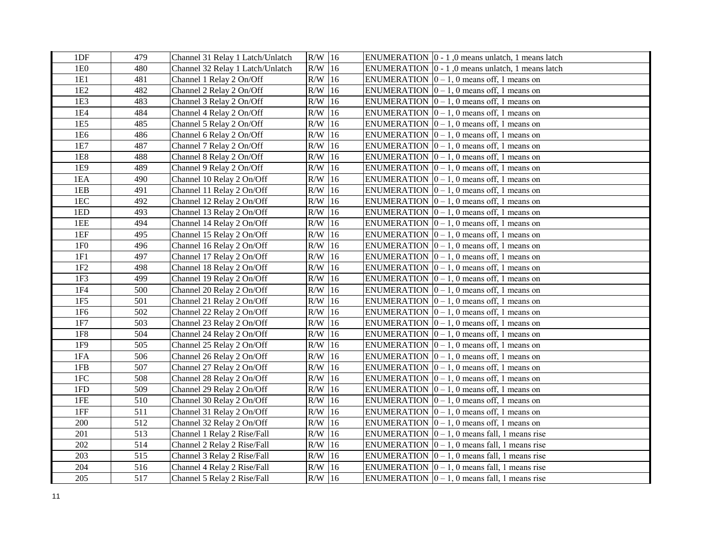| 1DF             | 479 | Channel 31 Relay 1 Latch/Unlatch | $R/W$ 16 | ENUMERATION $\vert 0 - 1 \vert$ , 0 means unlatch, 1 means latch |
|-----------------|-----|----------------------------------|----------|------------------------------------------------------------------|
| 1E0             | 480 | Channel 32 Relay 1 Latch/Unlatch | $R/W$ 16 | ENUMERATION $\vert 0 - 1 \vert$ , 0 means unlatch, 1 means latch |
| 1E1             | 481 | Channel 1 Relay 2 On/Off         | $R/W$ 16 | ENUMERATION $ 0 - 1$ , 0 means off, 1 means on                   |
| 1E2             | 482 | Channel 2 Relay 2 On/Off         | $R/W$ 16 | ENUMERATION $[0 - 1, 0$ means off, 1 means on                    |
| 1E3             | 483 | Channel 3 Relay 2 On/Off         | $R/W$ 16 | ENUMERATION $\vert 0-1, 0 \rangle$ means off, 1 means on         |
| 1E4             | 484 | Channel 4 Relay 2 On/Off         | $R/W$ 16 | ENUMERATION $\vert 0 - 1, 0 \rangle$ means off, 1 means on       |
| 1E5             | 485 | Channel 5 Relay 2 On/Off         | $R/W$ 16 | ENUMERATION $ 0 - 1$ , 0 means off, 1 means on                   |
| 1E6             | 486 | Channel 6 Relay 2 On/Off         | $R/W$ 16 | ENUMERATION $[0 - 1, 0$ means off, 1 means on                    |
| 1E7             | 487 | Channel 7 Relay 2 On/Off         | $R/W$ 16 | ENUMERATION $ 0 - 1$ , 0 means off, 1 means on                   |
| 1E8             | 488 | Channel 8 Relay 2 On/Off         | $R/W$ 16 | ENUMERATION $ 0 - 1$ , 0 means off, 1 means on                   |
| 1E9             | 489 | Channel 9 Relay 2 On/Off         | $R/W$ 16 | ENUMERATION $ 0-1, 0 $ means off, 1 means on                     |
| 1EA             | 490 | Channel 10 Relay 2 On/Off        | $R/W$ 16 | ENUMERATION $\vert 0 - 1, 0 \rangle$ means off, 1 means on       |
| 1EB             | 491 | Channel 11 Relay 2 On/Off        | $R/W$ 16 | ENUMERATION $[0 - 1, 0$ means off, 1 means on                    |
| 1EC             | 492 | Channel 12 Relay 2 On/Off        | $R/W$ 16 | ENUMERATION $[0 - 1, 0$ means off, 1 means on                    |
| 1ED             | 493 | Channel 13 Relay 2 On/Off        | $R/W$ 16 | ENUMERATION $[0 - 1, 0$ means off, 1 means on                    |
| 1EE             | 494 | Channel 14 Relay 2 On/Off        | $R/W$ 16 | ENUMERATION $[0 - 1, 0$ means off, 1 means on                    |
| 1EF             | 495 | Channel 15 Relay 2 On/Off        | $R/W$ 16 | ENUMERATION $\vert 0-1, 0 \rangle$ means off, 1 means on         |
| 1F <sub>0</sub> | 496 | Channel 16 Relay 2 On/Off        | $R/W$ 16 | ENUMERATION $[0 - 1, 0$ means off, 1 means on                    |
| 1F1             | 497 | Channel 17 Relay 2 On/Off        | $R/W$ 16 | ENUMERATION $ 0 - 1$ , 0 means off, 1 means on                   |
| 1F2             | 498 | Channel 18 Relay 2 On/Off        | $R/W$ 16 | ENUMERATION $[0 - 1, 0$ means off, 1 means on                    |
| 1F <sub>3</sub> | 499 | Channel 19 Relay 2 On/Off        | $R/W$ 16 | ENUMERATION $ 0 - 1$ , 0 means off, 1 means on                   |
| 1F4             | 500 | Channel 20 Relay 2 On/Off        | $R/W$ 16 | ENUMERATION $ 0 - 1$ , 0 means off, 1 means on                   |
| 1F5             | 501 | Channel 21 Relay 2 On/Off        | $R/W$ 16 | ENUMERATION $[0 - 1, 0$ means off, 1 means on                    |
| 1F <sub>6</sub> | 502 | Channel 22 Relay 2 On/Off        | $R/W$ 16 | ENUMERATION $ 0-1, 0 $ means off, 1 means on                     |
| 1F7             | 503 | Channel 23 Relay 2 On/Off        | $R/W$ 16 | ENUMERATION $ 0 - 1$ , 0 means off, 1 means on                   |
| <b>1F8</b>      | 504 | Channel 24 Relay 2 On/Off        | $R/W$ 16 | ENUMERATION $ 0 - 1$ , 0 means off, 1 means on                   |
| 1F9             | 505 | Channel 25 Relay 2 On/Off        | $R/W$ 16 | ENUMERATION $\vert 0 - 1, 0 \rangle$ means off, 1 means on       |
| 1FA             | 506 | Channel 26 Relay 2 On/Off        | $R/W$ 16 | ENUMERATION $ 0 - 1$ , 0 means off, 1 means on                   |
| 1FB             | 507 | Channel 27 Relay 2 On/Off        | $R/W$ 16 | ENUMERATION $[0 - 1, 0$ means off, 1 means on                    |
| 1FC             | 508 | Channel 28 Relay 2 On/Off        | $R/W$ 16 | ENUMERATION $[0 - 1, 0$ means off, 1 means on                    |
| 1FD             | 509 | Channel 29 Relay 2 On/Off        | $R/W$ 16 | ENUMERATION $ 0 - 1$ , 0 means off, 1 means on                   |
| 1FE             | 510 | Channel 30 Relay 2 On/Off        | $R/W$ 16 | ENUMERATION $ 0 - 1$ , 0 means off, 1 means on                   |
| 1FF             | 511 | Channel 31 Relay 2 On/Off        | $R/W$ 16 | ENUMERATION $[0 - 1, 0$ means off, 1 means on                    |
| 200             | 512 | Channel 32 Relay 2 On/Off        | $R/W$ 16 | ENUMERATION $ 0 - 1$ , 0 means off, 1 means on                   |
| 201             | 513 | Channel 1 Relay 2 Rise/Fall      | $R/W$ 16 | ENUMERATION $\vert 0-1, 0 \rangle$ means fall, 1 means rise      |
| 202             | 514 | Channel 2 Relay 2 Rise/Fall      | $R/W$ 16 | ENUMERATION $\vert 0-1, 0 \rangle$ means fall, 1 means rise      |
| 203             | 515 | Channel 3 Relay 2 Rise/Fall      | $R/W$ 16 | ENUMERATION $ 0 - 1$ , 0 means fall, 1 means rise                |
| 204             | 516 | Channel 4 Relay 2 Rise/Fall      | $R/W$ 16 | ENUMERATION $\vert 0 - 1, 0 \rangle$ means fall, 1 means rise    |
| 205             | 517 | Channel 5 Relay 2 Rise/Fall      | $R/W$ 16 | ENUMERATION $ 0 - 1$ , 0 means fall, 1 means rise                |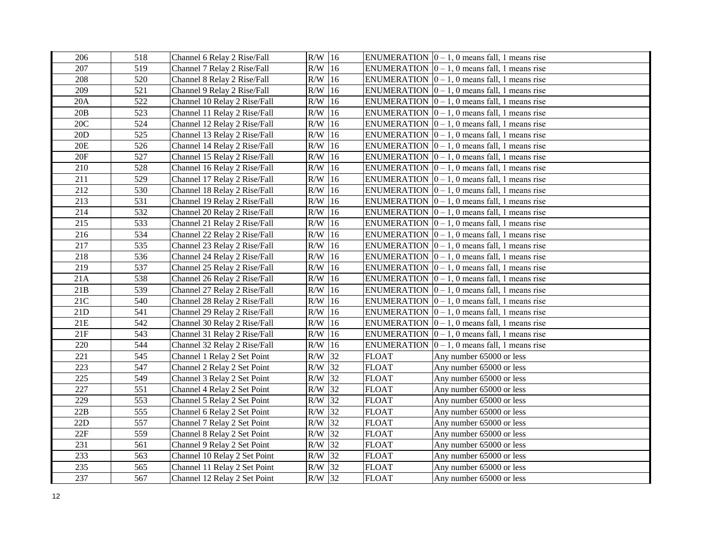| 206 | 518 | Channel 6 Relay 2 Rise/Fall  | $R/W$ 16  |    |              | ENUMERATION $\vert 0-1, 0 \vert$ means fall, 1 means rise     |
|-----|-----|------------------------------|-----------|----|--------------|---------------------------------------------------------------|
| 207 | 519 | Channel 7 Relay 2 Rise/Fall  | $R/W$ 16  |    |              | ENUMERATION $ 0 - 1$ , 0 means fall, 1 means rise             |
| 208 | 520 | Channel 8 Relay 2 Rise/Fall  | $R/W$ 16  |    |              | ENUMERATION $ 0 - 1$ , 0 means fall, 1 means rise             |
| 209 | 521 | Channel 9 Relay 2 Rise/Fall  | $R/W$ 16  |    |              | ENUMERATION $\vert 0-1, 0 \vert$ means fall, 1 means rise     |
| 20A | 522 | Channel 10 Relay 2 Rise/Fall | $\rm R/W$ | 16 |              | ENUMERATION $ 0 - 1$ , 0 means fall, 1 means rise             |
| 20B | 523 | Channel 11 Relay 2 Rise/Fall | R/W       | 16 |              | ENUMERATION $ 0 - 1$ , 0 means fall, 1 means rise             |
| 20C | 524 | Channel 12 Relay 2 Rise/Fall | R/W       | 16 |              | ENUMERATION $\vert 0 - 1, 0 \vert$ means fall, 1 means rise   |
| 20D | 525 | Channel 13 Relay 2 Rise/Fall | $\rm R/W$ | 16 |              | ENUMERATION $ 0 - 1$ , 0 means fall, 1 means rise             |
| 20E | 526 | Channel 14 Relay 2 Rise/Fall | $R/W$ 16  |    |              | ENUMERATION $[0 - 1, 0$ means fall, 1 means rise              |
| 20F | 527 | Channel 15 Relay 2 Rise/Fall | $R/W$ 16  |    |              | ENUMERATION $[0 - 1, 0$ means fall, 1 means rise              |
| 210 | 528 | Channel 16 Relay 2 Rise/Fall | R/W       | 16 |              | ENUMERATION $[0 - 1, 0$ means fall, 1 means rise              |
| 211 | 529 | Channel 17 Relay 2 Rise/Fall | R/W       | 16 |              | ENUMERATION $[0 - 1, 0$ means fall, 1 means rise              |
| 212 | 530 | Channel 18 Relay 2 Rise/Fall | $R/W$ 16  |    |              | ENUMERATION $ 0 - 1$ , 0 means fall, 1 means rise             |
| 213 | 531 | Channel 19 Relay 2 Rise/Fall | R/W       | 16 |              | ENUMERATION $ 0 - 1$ , 0 means fall, 1 means rise             |
| 214 | 532 | Channel 20 Relay 2 Rise/Fall | $R/W$ 16  |    |              | ENUMERATION $ 0 - 1$ , 0 means fall, 1 means rise             |
| 215 | 533 | Channel 21 Relay 2 Rise/Fall | R/W       | 16 |              | ENUMERATION $ 0 - 1$ , 0 means fall, 1 means rise             |
| 216 | 534 | Channel 22 Relay 2 Rise/Fall | R/W       | 16 |              | ENUMERATION $ 0 - 1$ , 0 means fall, 1 means rise             |
| 217 | 535 | Channel 23 Relay 2 Rise/Fall | R/W       | 16 |              | ENUMERATION $ 0 - 1$ , 0 means fall, 1 means rise             |
| 218 | 536 | Channel 24 Relay 2 Rise/Fall | R/W       | 16 |              | ENUMERATION $ 0 - 1$ , 0 means fall, 1 means rise             |
| 219 | 537 | Channel 25 Relay 2 Rise/Fall | R/W       | 16 |              | ENUMERATION $ 0 - 1$ , 0 means fall, 1 means rise             |
| 21A | 538 | Channel 26 Relay 2 Rise/Fall | $\rm R/W$ | 16 |              | ENUMERATION $ 0 - 1$ , 0 means fall, 1 means rise             |
| 21B | 539 | Channel 27 Relay 2 Rise/Fall | R/W       | 16 |              | ENUMERATION $\vert 0 - 1, 0 \vert$ means fall, 1 means rise   |
| 21C | 540 | Channel 28 Relay 2 Rise/Fall | $R/W$ 16  |    |              | ENUMERATION $ 0 - 1$ , 0 means fall, 1 means rise             |
| 21D | 541 | Channel 29 Relay 2 Rise/Fall | R/W       | 16 |              | ENUMERATION $ 0 - 1$ , 0 means fall, 1 means rise             |
| 21E | 542 | Channel 30 Relay 2 Rise/Fall | $R/W$ 16  |    |              | ENUMERATION $ 0 - 1$ , 0 means fall, 1 means rise             |
| 21F | 543 | Channel 31 Relay 2 Rise/Fall | $R/W$ 16  |    |              | ENUMERATION $\vert 0 - 1, 0 \rangle$ means fall, 1 means rise |
| 220 | 544 | Channel 32 Relay 2 Rise/Fall | $R/W$ 16  |    |              | ENUMERATION $ 0 - 1$ , 0 means fall, 1 means rise             |
| 221 | 545 | Channel 1 Relay 2 Set Point  | R/W       | 32 | <b>FLOAT</b> | Any number 65000 or less                                      |
| 223 | 547 | Channel 2 Relay 2 Set Point  | R/W       | 32 | <b>FLOAT</b> | Any number 65000 or less                                      |
| 225 | 549 | Channel 3 Relay 2 Set Point  | $\rm R/W$ | 32 | <b>FLOAT</b> | Any number 65000 or less                                      |
| 227 | 551 | Channel 4 Relay 2 Set Point  | $\rm R/W$ | 32 | <b>FLOAT</b> | Any number 65000 or less                                      |
| 229 | 553 | Channel 5 Relay 2 Set Point  | $\rm R/W$ | 32 | <b>FLOAT</b> | Any number 65000 or less                                      |
| 22B | 555 | Channel 6 Relay 2 Set Point  | $R/W$ 32  |    | <b>FLOAT</b> | Any number 65000 or less                                      |
| 22D | 557 | Channel 7 Relay 2 Set Point  | R/W       | 32 | <b>FLOAT</b> | Any number 65000 or less                                      |
| 22F | 559 | Channel 8 Relay 2 Set Point  | $R/W$ 32  |    | <b>FLOAT</b> | Any number 65000 or less                                      |
| 231 | 561 | Channel 9 Relay 2 Set Point  | $R/W$ 32  |    | <b>FLOAT</b> | Any number 65000 or less                                      |
| 233 | 563 | Channel 10 Relay 2 Set Point | $R/W$ 32  |    | <b>FLOAT</b> | Any number 65000 or less                                      |
| 235 | 565 | Channel 11 Relay 2 Set Point | R/W       | 32 | <b>FLOAT</b> | Any number 65000 or less                                      |
| 237 | 567 | Channel 12 Relay 2 Set Point | $R/W$ 32  |    | <b>FLOAT</b> | Any number 65000 or less                                      |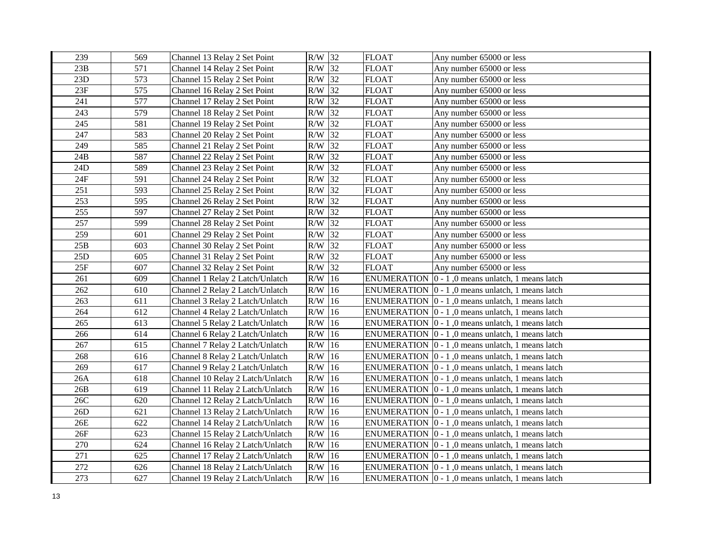| 239 | 569 | Channel 13 Relay 2 Set Point     | R/W 32    |               | <b>FLOAT</b>       | Any number 65000 or less                                         |
|-----|-----|----------------------------------|-----------|---------------|--------------------|------------------------------------------------------------------|
| 23B | 571 | Channel 14 Relay 2 Set Point     | $R/W$ 32  |               | <b>FLOAT</b>       | Any number 65000 or less                                         |
| 23D | 573 | Channel 15 Relay 2 Set Point     | $R/W$ 32  |               | <b>FLOAT</b>       | Any number 65000 or less                                         |
| 23F | 575 | Channel 16 Relay 2 Set Point     | $R/W$ 32  |               | <b>FLOAT</b>       | Any number 65000 or less                                         |
| 241 | 577 | Channel 17 Relay 2 Set Point     | R/W       | 32            | <b>FLOAT</b>       | Any number 65000 or less                                         |
| 243 | 579 | Channel 18 Relay 2 Set Point     | R/W       | 32            | <b>FLOAT</b>       | Any number 65000 or less                                         |
| 245 | 581 | Channel 19 Relay 2 Set Point     | R/W       | 32            | <b>FLOAT</b>       | Any number 65000 or less                                         |
| 247 | 583 | Channel 20 Relay 2 Set Point     | R/W       | 32            | <b>FLOAT</b>       | Any number 65000 or less                                         |
| 249 | 585 | Channel 21 Relay 2 Set Point     | $R/W$ 32  |               | <b>FLOAT</b>       | Any number 65000 or less                                         |
| 24B | 587 | Channel 22 Relay 2 Set Point     | R/W       | 32            | <b>FLOAT</b>       | Any number 65000 or less                                         |
| 24D | 589 | Channel 23 Relay 2 Set Point     | R/W       | 32            | <b>FLOAT</b>       | Any number 65000 or less                                         |
| 24F | 591 | Channel 24 Relay 2 Set Point     | R/W       | 32            | <b>FLOAT</b>       | Any number 65000 or less                                         |
| 251 | 593 | Channel 25 Relay 2 Set Point     | R/W       | 32            | <b>FLOAT</b>       | Any number 65000 or less                                         |
| 253 | 595 | Channel 26 Relay 2 Set Point     | R/W       | 32            | <b>FLOAT</b>       | Any number 65000 or less                                         |
| 255 | 597 | Channel 27 Relay 2 Set Point     | $R/W$ 32  |               | <b>FLOAT</b>       | Any number 65000 or less                                         |
| 257 | 599 | Channel 28 Relay 2 Set Point     | R/W       | 32            | <b>FLOAT</b>       | Any number 65000 or less                                         |
| 259 | 601 | Channel 29 Relay 2 Set Point     | R/W       | 32            | <b>FLOAT</b>       | Any number 65000 or less                                         |
| 25B | 603 | Channel 30 Relay 2 Set Point     | R/W       | 32            | <b>FLOAT</b>       | Any number 65000 or less                                         |
| 25D | 605 | Channel 31 Relay 2 Set Point     | R/W       | 32            | <b>FLOAT</b>       | Any number 65000 or less                                         |
| 25F | 607 | Channel 32 Relay 2 Set Point     | R/W       | 32            | <b>FLOAT</b>       | Any number 65000 or less                                         |
| 261 | 609 | Channel 1 Relay 2 Latch/Unlatch  | R/W       | 16            | <b>ENUMERATION</b> | $ 0 - 1 $ , 0 means unlatch, 1 means latch                       |
| 262 | 610 | Channel 2 Relay 2 Latch/Unlatch  | R/W       | 16            |                    | ENUMERATION $\vert 0 - 1 \vert$ , 0 means unlatch, 1 means latch |
| 263 | 611 | Channel 3 Relay 2 Latch/Unlatch  | R/W       | 16            |                    | ENUMERATION $\vert 0 - 1 \vert$ , 0 means unlatch, 1 means latch |
| 264 | 612 | Channel 4 Relay 2 Latch/Unlatch  | R/W       | 16            |                    | ENUMERATION $ 0 - 1$ , 0 means unlatch, 1 means latch            |
| 265 | 613 | Channel 5 Relay 2 Latch/Unlatch  | $\rm R/W$ | 16            |                    | ENUMERATION $ 0 - 1 $ , 0 means unlatch, 1 means latch           |
| 266 | 614 | Channel 6 Relay 2 Latch/Unlatch  | $R/W$ 16  |               |                    | ENUMERATION $\vert 0 - 1 \vert$ , 0 means unlatch, 1 means latch |
| 267 | 615 | Channel 7 Relay 2 Latch/Unlatch  | $R/W$ 16  |               |                    | ENUMERATION $\vert 0 - 1 \vert$ , 0 means unlatch, 1 means latch |
| 268 | 616 | Channel 8 Relay 2 Latch/Unlatch  | $R/W$ 16  |               |                    | ENUMERATION $\vert 0 - 1 \vert$ , 0 means unlatch, 1 means latch |
| 269 | 617 | Channel 9 Relay 2 Latch/Unlatch  | R/W       | 16            |                    | ENUMERATION $\vert 0 - 1 \vert$ , 0 means unlatch, 1 means latch |
| 26A | 618 | Channel 10 Relay 2 Latch/Unlatch | R/W       | 16            |                    | ENUMERATION $ 0 - 1 $ , 0 means unlatch, 1 means latch           |
| 26B | 619 | Channel 11 Relay 2 Latch/Unlatch | R/W       | 16            |                    | ENUMERATION $\vert 0 - 1 \vert$ , 0 means unlatch, 1 means latch |
| 26C | 620 | Channel 12 Relay 2 Latch/Unlatch | R/W       | 16            |                    | ENUMERATION $\vert 0 - 1 \vert$ , 0 means unlatch, 1 means latch |
| 26D | 621 | Channel 13 Relay 2 Latch/Unlatch | R/W       | 16            |                    | ENUMERATION $ 0 - 1 $ , 0 means unlatch, 1 means latch           |
| 26E | 622 | Channel 14 Relay 2 Latch/Unlatch | R/W       | 16            |                    | ENUMERATION $\vert 0 - 1 \vert$ , 0 means unlatch, 1 means latch |
| 26F | 623 | Channel 15 Relay 2 Latch/Unlatch | R/W       | <sup>16</sup> |                    | ENUMERATION $ 0 - 1 $ , 0 means unlatch, 1 means latch           |
| 270 | 624 | Channel 16 Relay 2 Latch/Unlatch | R/W       | 16            |                    | ENUMERATION $ 0 - 1 $ , 0 means unlatch, 1 means latch           |
| 271 | 625 | Channel 17 Relay 2 Latch/Unlatch | R/W       | 16            |                    | ENUMERATION $\vert 0 - 1 \vert$ , 0 means unlatch, 1 means latch |
| 272 | 626 | Channel 18 Relay 2 Latch/Unlatch | R/W       | 16            |                    | ENUMERATION $\vert 0 - 1 \vert$ , 0 means unlatch, 1 means latch |
| 273 | 627 | Channel 19 Relay 2 Latch/Unlatch | $R/W$ 16  |               |                    | ENUMERATION $\vert 0 - 1 \vert$ , 0 means unlatch, 1 means latch |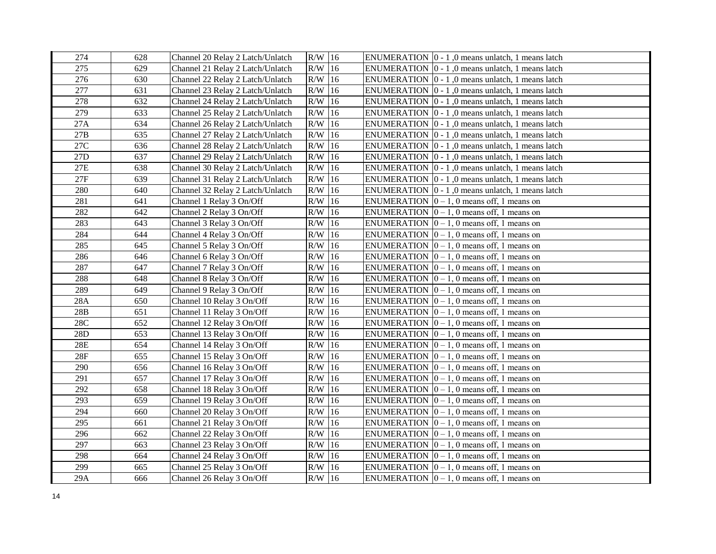| 274             | 628 | Channel 20 Relay 2 Latch/Unlatch | $R/W$ 16 | ENUMERATION $\vert 0 - 1 \vert$ , 0 means unlatch, 1 means latch |
|-----------------|-----|----------------------------------|----------|------------------------------------------------------------------|
| 275             | 629 | Channel 21 Relay 2 Latch/Unlatch | $R/W$ 16 | ENUMERATION $\vert 0 - 1 \vert$ , 0 means unlatch, 1 means latch |
| 276             | 630 | Channel 22 Relay 2 Latch/Unlatch | $R/W$ 16 | ENUMERATION $\vert 0 - 1 \vert$ , 0 means unlatch, 1 means latch |
| 277             | 631 | Channel 23 Relay 2 Latch/Unlatch | $R/W$ 16 | ENUMERATION $\vert 0 - 1 \vert$ , 0 means unlatch, 1 means latch |
| 278             | 632 | Channel 24 Relay 2 Latch/Unlatch | $R/W$ 16 | ENUMERATION $\vert 0 - 1 \vert$ , 0 means unlatch, 1 means latch |
| 279             | 633 | Channel 25 Relay 2 Latch/Unlatch | $R/W$ 16 | ENUMERATION $\vert 0 - 1 \vert$ , 0 means unlatch, 1 means latch |
| 27A             | 634 | Channel 26 Relay 2 Latch/Unlatch | $R/W$ 16 | ENUMERATION $\vert 0 - 1 \vert$ , 0 means unlatch, 1 means latch |
| 27B             | 635 | Channel 27 Relay 2 Latch/Unlatch | $R/W$ 16 | ENUMERATION $\vert 0 - 1 \vert$ , 0 means unlatch, 1 means latch |
| 27C             | 636 | Channel 28 Relay 2 Latch/Unlatch | $R/W$ 16 | ENUMERATION $\vert 0 - 1 \vert$ , 0 means unlatch, 1 means latch |
| 27 <sub>D</sub> | 637 | Channel 29 Relay 2 Latch/Unlatch | $R/W$ 16 | ENUMERATION $ 0 - 1 $ , 0 means unlatch, 1 means latch           |
| 27E             | 638 | Channel 30 Relay 2 Latch/Unlatch | $R/W$ 16 | ENUMERATION $\vert 0 - 1 \vert$ , 0 means unlatch, 1 means latch |
| 27F             | 639 | Channel 31 Relay 2 Latch/Unlatch | $R/W$ 16 | ENUMERATION $ 0 - 1 $ , 0 means unlatch, 1 means latch           |
| 280             | 640 | Channel 32 Relay 2 Latch/Unlatch | $R/W$ 16 | ENUMERATION $\vert 0 - 1 \vert$ , 0 means unlatch, 1 means latch |
| 281             | 641 | Channel 1 Relay 3 On/Off         | $R/W$ 16 | ENUMERATION $[0 - 1, 0$ means off, 1 means on                    |
| 282             | 642 | Channel 2 Relay 3 On/Off         | $R/W$ 16 | ENUMERATION $ 0-1, 0 $ means off, 1 means on                     |
| 283             | 643 | Channel 3 Relay 3 On/Off         | $R/W$ 16 | ENUMERATION $\vert 0-1, 0 \rangle$ means off, 1 means on         |
| 284             | 644 | Channel 4 Relay 3 On/Off         | $R/W$ 16 | ENUMERATION $ 0-1, 0 $ means off, 1 means on                     |
| 285             | 645 | Channel 5 Relay 3 On/Off         | $R/W$ 16 | ENUMERATION $ 0-1, 0 $ means off, 1 means on                     |
| 286             | 646 | Channel 6 Relay 3 On/Off         | $R/W$ 16 | ENUMERATION $\vert 0-1, 0 \rangle$ means off, 1 means on         |
| 287             | 647 | Channel 7 Relay 3 On/Off         | $R/W$ 16 | ENUMERATION $[0 - 1, 0$ means off, 1 means on                    |
| 288             | 648 | Channel 8 Relay 3 On/Off         | $R/W$ 16 | ENUMERATION $[0 - 1, 0$ means off, 1 means on                    |
| 289             | 649 | Channel 9 Relay 3 On/Off         | $R/W$ 16 | ENUMERATION $ 0 - 1$ , 0 means off, 1 means on                   |
| 28A             | 650 | Channel 10 Relay 3 On/Off        | $R/W$ 16 | ENUMERATION $[0 - 1, 0$ means off, 1 means on                    |
| 28B             | 651 | Channel 11 Relay 3 On/Off        | $R/W$ 16 | ENUMERATION $[0 - 1, 0$ means off, 1 means on                    |
| $28\mathrm{C}$  | 652 | Channel 12 Relay 3 On/Off        | $R/W$ 16 | ENUMERATION $ 0 - 1$ , 0 means off, 1 means on                   |
| $28D$           | 653 | Channel 13 Relay 3 On/Off        | $R/W$ 16 | ENUMERATION $ 0 - 1$ , 0 means off, 1 means on                   |
| $28\mathrm{E}$  | 654 | Channel 14 Relay 3 On/Off        | $R/W$ 16 | ENUMERATION $[0 - 1, 0$ means off, 1 means on                    |
| 28F             | 655 | Channel 15 Relay 3 On/Off        | $R/W$ 16 | ENUMERATION $\vert 0-1, 0 \rangle$ means off, 1 means on         |
| 290             | 656 | Channel 16 Relay 3 On/Off        | $R/W$ 16 | ENUMERATION $ 0 - 1$ , 0 means off, 1 means on                   |
| 291             | 657 | Channel 17 Relay 3 On/Off        | $R/W$ 16 | ENUMERATION $[0 - 1, 0$ means off, 1 means on                    |
| 292             | 658 | Channel 18 Relay 3 On/Off        | $R/W$ 16 | ENUMERATION $[0 - 1, 0$ means off, 1 means on                    |
| 293             | 659 | Channel 19 Relay 3 On/Off        | $R/W$ 16 | ENUMERATION $[0 - 1, 0$ means off, 1 means on                    |
| 294             | 660 | Channel 20 Relay 3 On/Off        | $R/W$ 16 | ENUMERATION $[0 - 1, 0$ means off, 1 means on                    |
| 295             | 661 | Channel 21 Relay 3 On/Off        | $R/W$ 16 | ENUMERATION $[0 - 1, 0$ means off, 1 means on                    |
| 296             | 662 | Channel 22 Relay 3 On/Off        | $R/W$ 16 | ENUMERATION $[0 - 1, 0$ means off, 1 means on                    |
| 297             | 663 | Channel 23 Relay 3 On/Off        | $R/W$ 16 | ENUMERATION $[0 - 1, 0$ means off, 1 means on                    |
| 298             | 664 | Channel 24 Relay 3 On/Off        | $R/W$ 16 | ENUMERATION $[0 - 1, 0$ means off, 1 means on                    |
| 299             | 665 | Channel 25 Relay 3 On/Off        | $R/W$ 16 | ENUMERATION $\vert 0-1, 0 \rangle$ means off, 1 means on         |
| 29A             | 666 | Channel 26 Relay 3 On/Off        | $R/W$ 16 | ENUMERATION $ 0 - 1$ , 0 means off, 1 means on                   |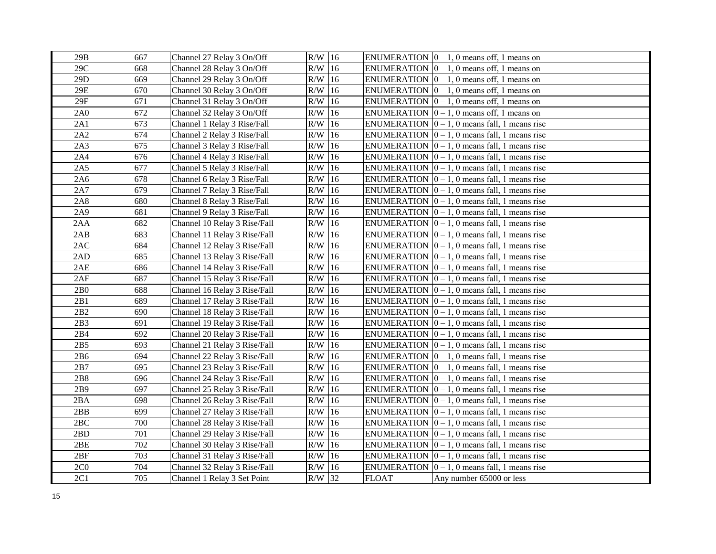| 29B             | 667 | Channel 27 Relay 3 On/Off    | $R/W$ 16  |               |              | ENUMERATION $\vert 0-1, 0 \rangle$ means off, 1 means on    |
|-----------------|-----|------------------------------|-----------|---------------|--------------|-------------------------------------------------------------|
| 29C             | 668 | Channel 28 Relay 3 On/Off    | $R/W$ 16  |               |              | ENUMERATION $ 0 - 1$ , 0 means off, 1 means on              |
| 29D             | 669 | Channel 29 Relay 3 On/Off    | $R/W$ 16  |               |              | ENUMERATION $ 0 - 1$ , 0 means off, 1 means on              |
| 29E             | 670 | Channel 30 Relay 3 On/Off    | $R/W$ 16  |               |              | ENUMERATION $ 0 - 1$ , 0 means off, 1 means on              |
| 29F             | 671 | Channel 31 Relay 3 On/Off    | R/W       | 16            |              | ENUMERATION $[0 - 1, 0$ means off, 1 means on               |
| 2A0             | 672 | Channel 32 Relay 3 On/Off    | R/W       | 16            |              | ENUMERATION $ 0 - 1$ , 0 means off, 1 means on              |
| 2A1             | 673 | Channel 1 Relay 3 Rise/Fall  | R/W       | 16            |              | ENUMERATION $[0 - 1, 0$ means fall, 1 means rise            |
| 2A2             | 674 | Channel 2 Relay 3 Rise/Fall  | R/W       | <sup>16</sup> |              | ENUMERATION $ 0 - 1$ , 0 means fall, 1 means rise           |
| 2A3             | 675 | Channel 3 Relay 3 Rise/Fall  | R/W       | 16            |              | ENUMERATION $[0 - 1, 0$ means fall, 1 means rise            |
| 2A4             | 676 | Channel 4 Relay 3 Rise/Fall  | R/W       | 16            |              | ENUMERATION $[0 - 1, 0$ means fall, 1 means rise            |
| 2A5             | 677 | Channel 5 Relay 3 Rise/Fall  | R/W       | 16            |              | ENUMERATION $[0 - 1, 0$ means fall, 1 means rise            |
| 2A6             | 678 | Channel 6 Relay 3 Rise/Fall  | R/W       | 16            |              | ENUMERATION $[0 - 1, 0$ means fall, 1 means rise            |
| 2A7             | 679 | Channel 7 Relay 3 Rise/Fall  | $R/W$ 16  |               |              | ENUMERATION $ 0 - 1$ , 0 means fall, 1 means rise           |
| 2A8             | 680 | Channel 8 Relay 3 Rise/Fall  | R/W       | 16            |              | ENUMERATION $ 0 - 1$ , 0 means fall, 1 means rise           |
| 2A9             | 681 | Channel 9 Relay 3 Rise/Fall  | $R/W$ 16  |               |              | ENUMERATION $ 0 - 1$ , 0 means fall, 1 means rise           |
| 2AA             | 682 | Channel 10 Relay 3 Rise/Fall | R/W       | 16            |              | ENUMERATION $ 0 - 1$ , 0 means fall, 1 means rise           |
| 2AB             | 683 | Channel 11 Relay 3 Rise/Fall | R/W       | 16            |              | ENUMERATION $ 0 - 1$ , 0 means fall, 1 means rise           |
| 2AC             | 684 | Channel 12 Relay 3 Rise/Fall | R/W       | 16            |              | ENUMERATION $ 0 - 1$ , 0 means fall, 1 means rise           |
| 2AD             | 685 | Channel 13 Relay 3 Rise/Fall | $\rm R/W$ | 16            |              | ENUMERATION $ 0 - 1$ , 0 means fall, 1 means rise           |
| 2AE             | 686 | Channel 14 Relay 3 Rise/Fall | R/W       | 16            |              | ENUMERATION $ 0 - 1$ , 0 means fall, 1 means rise           |
| 2AF             | 687 | Channel 15 Relay 3 Rise/Fall | R/W       | <sup>16</sup> |              | ENUMERATION $ 0 - 1$ , 0 means fall, 1 means rise           |
| 2B <sub>0</sub> | 688 | Channel 16 Relay 3 Rise/Fall | R/W       | 16            |              | ENUMERATION $ 0 - 1$ , 0 means fall, 1 means rise           |
| 2B1             | 689 | Channel 17 Relay 3 Rise/Fall | $R/W$ 16  |               |              | ENUMERATION $ 0 - 1$ , 0 means fall, 1 means rise           |
| 2B2             | 690 | Channel 18 Relay 3 Rise/Fall | R/W       | 16            |              | ENUMERATION $ 0 - 1$ , 0 means fall, 1 means rise           |
| 2B3             | 691 | Channel 19 Relay 3 Rise/Fall | $R/W$ 16  |               |              | ENUMERATION $ 0 - 1$ , 0 means fall, 1 means rise           |
| 2B4             | 692 | Channel 20 Relay 3 Rise/Fall | $R/W$ 16  |               |              | ENUMERATION $\vert 0 - 1, 0 \vert$ means fall, 1 means rise |
| 2B5             | 693 | Channel 21 Relay 3 Rise/Fall | $R/W$ 16  |               |              | ENUMERATION $ 0 - 1$ , 0 means fall, 1 means rise           |
| 2B6             | 694 | Channel 22 Relay 3 Rise/Fall | R/W       | 16            |              | ENUMERATION $ 0 - 1$ , 0 means fall, 1 means rise           |
| 2B7             | 695 | Channel 23 Relay 3 Rise/Fall | $R/W$ 16  |               |              | ENUMERATION $ 0 - 1$ , 0 means fall, 1 means rise           |
| 2B8             | 696 | Channel 24 Relay 3 Rise/Fall | $\rm R/W$ | 16            |              | ENUMERATION $ 0 - 1$ , 0 means fall, 1 means rise           |
| 2B9             | 697 | Channel 25 Relay 3 Rise/Fall | $\rm R/W$ | 16            |              | ENUMERATION $ 0 - 1$ , 0 means fall, 1 means rise           |
| 2BA             | 698 | Channel 26 Relay 3 Rise/Fall | $\rm R/W$ | 16            |              | ENUMERATION $\vert 0-1, 0 \vert$ means fall, 1 means rise   |
| 2BB             | 699 | Channel 27 Relay 3 Rise/Fall | R/W       | 16            |              | ENUMERATION $ 0 - 1$ , 0 means fall, 1 means rise           |
| 2BC             | 700 | Channel 28 Relay 3 Rise/Fall | $R/W$ 16  |               |              | ENUMERATION $ 0 - 1$ , 0 means fall, 1 means rise           |
| 2BD             | 701 | Channel 29 Relay 3 Rise/Fall | $R/W$ 16  |               |              | ENUMERATION $ 0 - 1$ , 0 means fall, 1 means rise           |
| 2BE             | 702 | Channel 30 Relay 3 Rise/Fall | $\rm R/W$ | $ 16\rangle$  |              | ENUMERATION $ 0 - 1$ , 0 means fall, 1 means rise           |
| 2BF             | 703 | Channel 31 Relay 3 Rise/Fall | R/W       | 16            |              | ENUMERATION $[0 - 1, 0$ means fall, 1 means rise            |
| 2C <sub>0</sub> | 704 | Channel 32 Relay 3 Rise/Fall | R/W       | 16            |              | ENUMERATION $\vert 0 - 1, 0 \vert$ means fall, 1 means rise |
| 2C1             | 705 | Channel 1 Relay 3 Set Point  | R/W 32    |               | <b>FLOAT</b> | Any number 65000 or less                                    |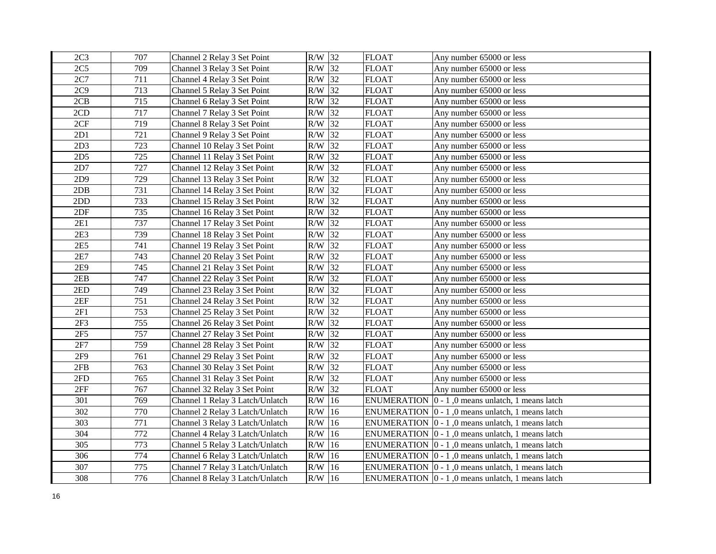| 2C <sub>3</sub> | 707 | Channel 2 Relay 3 Set Point     | R/W 32    |               | <b>FLOAT</b>       | Any number 65000 or less                                         |
|-----------------|-----|---------------------------------|-----------|---------------|--------------------|------------------------------------------------------------------|
| 2C <sub>5</sub> | 709 | Channel 3 Relay 3 Set Point     | $R/W$ 32  |               | <b>FLOAT</b>       | Any number 65000 or less                                         |
| 2C7             | 711 | Channel 4 Relay 3 Set Point     | $R/W$ 32  |               | <b>FLOAT</b>       | Any number 65000 or less                                         |
| 2C9             | 713 | Channel 5 Relay 3 Set Point     | R/W       | 32            | <b>FLOAT</b>       | Any number 65000 or less                                         |
| 2CB             | 715 | Channel 6 Relay 3 Set Point     | R/W       | 32            | <b>FLOAT</b>       | Any number 65000 or less                                         |
| 2CD             | 717 | Channel 7 Relay 3 Set Point     | R/W       | 32            | <b>FLOAT</b>       | Any number 65000 or less                                         |
| 2CF             | 719 | Channel 8 Relay 3 Set Point     | R/W       | 32            | <b>FLOAT</b>       | Any number 65000 or less                                         |
| 2D1             | 721 | Channel 9 Relay 3 Set Point     | R/W       | 32            | <b>FLOAT</b>       | Any number 65000 or less                                         |
| 2D3             | 723 | Channel 10 Relay 3 Set Point    | R/W       | 32            | <b>FLOAT</b>       | Any number 65000 or less                                         |
| 2D <sub>5</sub> | 725 | Channel 11 Relay 3 Set Point    | R/W       | 32            | <b>FLOAT</b>       | Any number 65000 or less                                         |
| 2D7             | 727 | Channel 12 Relay 3 Set Point    | R/W       | 32            | <b>FLOAT</b>       | Any number 65000 or less                                         |
| 2D9             | 729 | Channel 13 Relay 3 Set Point    | R/W       | 32            | FLOAT              | Any number 65000 or less                                         |
| 2DB             | 731 | Channel 14 Relay 3 Set Point    | $\rm R/W$ | 32            | <b>FLOAT</b>       | Any number 65000 or less                                         |
| 2DD             | 733 | Channel 15 Relay 3 Set Point    | $\rm R/W$ | 32            | <b>FLOAT</b>       | Any number 65000 or less                                         |
| 2DF             | 735 | Channel 16 Relay 3 Set Point    | R/W       | 32            | <b>FLOAT</b>       | Any number 65000 or less                                         |
| 2E1             | 737 | Channel 17 Relay 3 Set Point    | R/W       | 32            | <b>FLOAT</b>       | Any number 65000 or less                                         |
| 2E3             | 739 | Channel 18 Relay 3 Set Point    | R/W       | 32            | <b>FLOAT</b>       | Any number 65000 or less                                         |
| 2E5             | 741 | Channel 19 Relay 3 Set Point    | R/W       | 32            | <b>FLOAT</b>       | Any number 65000 or less                                         |
| 2E7             | 743 | Channel 20 Relay 3 Set Point    | R/W       | 32            | <b>FLOAT</b>       | Any number 65000 or less                                         |
| 2E9             | 745 | Channel 21 Relay 3 Set Point    | R/W       | 32            | <b>FLOAT</b>       | Any number 65000 or less                                         |
| 2EB             | 747 | Channel 22 Relay 3 Set Point    | R/W       | 32            | <b>FLOAT</b>       | Any number 65000 or less                                         |
| 2ED             | 749 | Channel 23 Relay 3 Set Point    | R/W       | 32            | <b>FLOAT</b>       | Any number 65000 or less                                         |
| 2EF             | 751 | Channel 24 Relay 3 Set Point    | R/W       | 32            | <b>FLOAT</b>       | Any number 65000 or less                                         |
| 2F1             | 753 | Channel 25 Relay 3 Set Point    | R/W       | 32            | <b>FLOAT</b>       | Any number 65000 or less                                         |
| 2F3             | 755 | Channel 26 Relay 3 Set Point    | R/W       | 32            | <b>FLOAT</b>       | Any number 65000 or less                                         |
| 2F5             | 757 | Channel 27 Relay 3 Set Point    | R/W       | 32            | <b>FLOAT</b>       | Any number 65000 or less                                         |
| 2F7             | 759 | Channel 28 Relay 3 Set Point    | R/W       | 32            | <b>FLOAT</b>       | Any number 65000 or less                                         |
| 2F9             | 761 | Channel 29 Relay 3 Set Point    | R/W       | 32            | <b>FLOAT</b>       | Any number 65000 or less                                         |
| 2FB             | 763 | Channel 30 Relay 3 Set Point    | R/W       | 32            | <b>FLOAT</b>       | Any number 65000 or less                                         |
| 2FD             | 765 | Channel 31 Relay 3 Set Point    | $\rm R/W$ | 32            | <b>FLOAT</b>       | Any number 65000 or less                                         |
| 2FF             | 767 | Channel 32 Relay 3 Set Point    | $\rm R/W$ | 32            | <b>FLOAT</b>       | Any number 65000 or less                                         |
| 301             | 769 | Channel 1 Relay 3 Latch/Unlatch | $\rm R/W$ | 16            | <b>ENUMERATION</b> | $ 0 - 1 $ , 0 means unlatch, 1 means latch                       |
| 302             | 770 | Channel 2 Relay 3 Latch/Unlatch | $\rm R/W$ | 16            |                    | ENUMERATION $\vert 0 - 1 \vert$ , 0 means unlatch, 1 means latch |
| 303             | 771 | Channel 3 Relay 3 Latch/Unlatch | R/W       | 16            |                    | ENUMERATION $\vert 0 - 1 \vert$ , 0 means unlatch, 1 means latch |
| 304             | 772 | Channel 4 Relay 3 Latch/Unlatch | R/W       | 16            |                    | ENUMERATION $\vert 0 - 1 \vert$ , 0 means unlatch, 1 means latch |
| 305             | 773 | Channel 5 Relay 3 Latch/Unlatch | R/W       | 16            |                    | ENUMERATION $ 0 - 1 $ , 0 means unlatch, 1 means latch           |
| 306             | 774 | Channel 6 Relay 3 Latch/Unlatch | R/W       | <sup>16</sup> |                    | ENUMERATION $ 0 - 1 $ , 0 means unlatch, 1 means latch           |
| 307             | 775 | Channel 7 Relay 3 Latch/Unlatch | R/W       | 16            |                    | ENUMERATION $\vert 0 - 1 \vert$ , 0 means unlatch, 1 means latch |
| 308             | 776 | Channel 8 Relay 3 Latch/Unlatch | $R/W$ 16  |               |                    | ENUMERATION $\vert 0 - 1 \vert$ , 0 means unlatch, 1 means latch |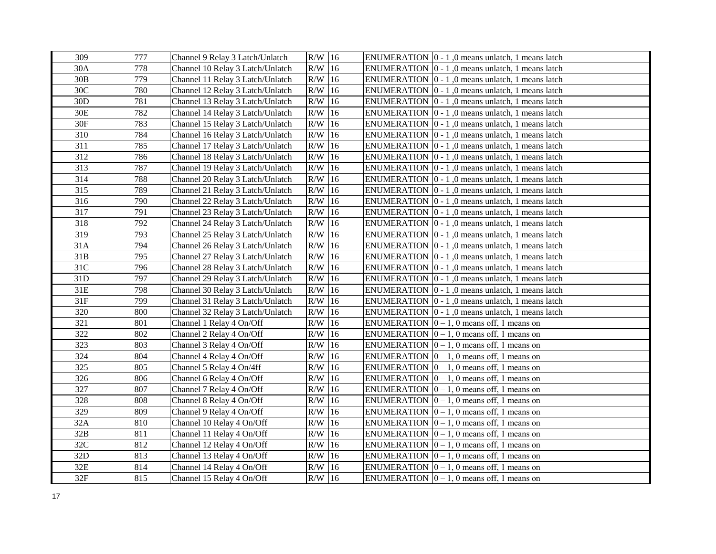| 309 | 777 | Channel 9 Relay 3 Latch/Unlatch  | $R/W$ 16  |               | ENUMERATION $\vert 0 - 1 \vert$ , 0 means unlatch, 1 means latch |
|-----|-----|----------------------------------|-----------|---------------|------------------------------------------------------------------|
| 30A | 778 | Channel 10 Relay 3 Latch/Unlatch | $R/W$ 16  |               | ENUMERATION $ 0 - 1 $ , 0 means unlatch, 1 means latch           |
| 30B | 779 | Channel 11 Relay 3 Latch/Unlatch | $R/W$ 16  |               | ENUMERATION $ 0 - 1 $ , 0 means unlatch, 1 means latch           |
| 30C | 780 | Channel 12 Relay 3 Latch/Unlatch | $R/W$ 16  |               | ENUMERATION $\vert 0 - 1 \vert$ , 0 means unlatch, 1 means latch |
| 30D | 781 | Channel 13 Relay 3 Latch/Unlatch | $R/W$ 16  |               | ENUMERATION $ 0 - 1 $ , 0 means unlatch, 1 means latch           |
| 30E | 782 | Channel 14 Relay 3 Latch/Unlatch | R/W       | 16            | ENUMERATION $ 0 - 1 $ , 0 means unlatch, 1 means latch           |
| 30F | 783 | Channel 15 Relay 3 Latch/Unlatch | R/W       | 16            | ENUMERATION $\vert 0 - 1 \vert$ , 0 means unlatch, 1 means latch |
| 310 | 784 | Channel 16 Relay 3 Latch/Unlatch | R/W       | 16            | ENUMERATION $\vert 0 - 1 \vert$ , 0 means unlatch, 1 means latch |
| 311 | 785 | Channel 17 Relay 3 Latch/Unlatch | R/W       | 16            | ENUMERATION $ 0 - 1 $ , 0 means unlatch, 1 means latch           |
| 312 | 786 | Channel 18 Relay 3 Latch/Unlatch | R/W       | 16            | ENUMERATION $\vert 0 - 1 \vert$ , 0 means unlatch, 1 means latch |
| 313 | 787 | Channel 19 Relay 3 Latch/Unlatch | R/W       | 16            | ENUMERATION $ 0 - 1 $ , 0 means unlatch, 1 means latch           |
| 314 | 788 | Channel 20 Relay 3 Latch/Unlatch | R/W       | 16            | ENUMERATION $ 0 - 1 $ , 0 means unlatch, 1 means latch           |
| 315 | 789 | Channel 21 Relay 3 Latch/Unlatch | R/W       | 16            | ENUMERATION $\vert 0 - 1 \vert$ , 0 means unlatch, 1 means latch |
| 316 | 790 | Channel 22 Relay 3 Latch/Unlatch | $R/W$ 16  |               | ENUMERATION $\vert 0 - 1 \vert$ , 0 means unlatch, 1 means latch |
| 317 | 791 | Channel 23 Relay 3 Latch/Unlatch | $R/W$ 16  |               | ENUMERATION $\vert 0 - 1 \vert$ , 0 means unlatch, 1 means latch |
| 318 | 792 | Channel 24 Relay 3 Latch/Unlatch | $R/W$ 16  |               | ENUMERATION $\vert 0 - 1 \vert$ , 0 means unlatch, 1 means latch |
| 319 | 793 | Channel 25 Relay 3 Latch/Unlatch | R/W       | 16            | ENUMERATION $\vert 0 - 1 \vert$ , 0 means unlatch, 1 means latch |
| 31A | 794 | Channel 26 Relay 3 Latch/Unlatch | $R/W$ 16  |               | ENUMERATION $\vert 0 - 1 \vert$ , 0 means unlatch, 1 means latch |
| 31B | 795 | Channel 27 Relay 3 Latch/Unlatch | $\rm R/W$ | 16            | ENUMERATION $\vert 0 - 1 \vert$ , 0 means unlatch, 1 means latch |
| 31C | 796 | Channel 28 Relay 3 Latch/Unlatch | $\rm R/W$ | 16            | ENUMERATION $\vert 0 - 1 \vert$ , 0 means unlatch, 1 means latch |
| 31D | 797 | Channel 29 Relay 3 Latch/Unlatch | R/W 16    |               | ENUMERATION $\vert 0 - 1 \vert$ , 0 means unlatch, 1 means latch |
| 31E | 798 | Channel 30 Relay 3 Latch/Unlatch | $R/W$ 16  |               | ENUMERATION $\vert 0 - 1 \vert$ , 0 means unlatch, 1 means latch |
| 31F | 799 | Channel 31 Relay 3 Latch/Unlatch | R/W       | 16            | ENUMERATION $\vert 0 - 1 \vert$ , 0 means unlatch, 1 means latch |
| 320 | 800 | Channel 32 Relay 3 Latch/Unlatch | $R/W$ 16  |               | ENUMERATION $\vert 0 - 1 \vert$ , 0 means unlatch, 1 means latch |
| 321 | 801 | Channel 1 Relay 4 On/Off         | $R/W$ 16  |               | ENUMERATION $ 0 - 1$ , 0 means off, 1 means on                   |
| 322 | 802 | Channel 2 Relay 4 On/Off         | $R/W$ 16  |               | ENUMERATION $[0 - 1, 0$ means off, 1 means on                    |
| 323 | 803 | Channel 3 Relay 4 On/Off         | $R/W$ 16  |               | ENUMERATION $[0 - 1, 0$ means off, 1 means on                    |
| 324 | 804 | Channel 4 Relay 4 On/Off         | $R/W$ 16  |               | ENUMERATION $ 0 - 1$ , 0 means off, 1 means on                   |
| 325 | 805 | Channel 5 Relay 4 On/4ff         | R/W       | 16            | ENUMERATION $ 0 - 1$ , 0 means off, 1 means on                   |
| 326 | 806 | Channel 6 Relay 4 On/Off         | R/W       | 16            | ENUMERATION $ 0-1, 0 $ means off, 1 means on                     |
| 327 | 807 | Channel 7 Relay 4 On/Off         | R/W       | <sup>16</sup> | ENUMERATION $[0 - 1, 0$ means off, 1 means on                    |
| 328 | 808 | Channel 8 Relay 4 On/Off         | R/W       | <sup>16</sup> | ENUMERATION $[0 - 1, 0$ means off, 1 means on                    |
| 329 | 809 | Channel 9 Relay 4 On/Off         | $R/W$ 16  |               | ENUMERATION $ 0-1, 0 $ means off, 1 means on                     |
| 32A | 810 | Channel 10 Relay 4 On/Off        | R/W       | 16            | ENUMERATION $ 0-1, 0 $ means off, 1 means on                     |
| 32B | 811 | Channel 11 Relay 4 On/Off        | R/W       | 16            | ENUMERATION $ 0 - 1$ , 0 means off, 1 means on                   |
| 32C | 812 | Channel 12 Relay 4 On/Off        | R/W       | 16            | ENUMERATION $[0 - 1, 0$ means off, 1 means on                    |
| 32D | 813 | Channel 13 Relay 4 On/Off        | $R/W$ 16  |               | ENUMERATION $[0 - 1, 0$ means off, 1 means on                    |
| 32E | 814 | Channel 14 Relay 4 On/Off        | $R/W$ 16  |               | ENUMERATION $[0 - 1, 0$ means off, 1 means on                    |
| 32F | 815 | Channel 15 Relay 4 On/Off        | $R/W$ 16  |               | ENUMERATION $ 0-1, 0 $ means off, 1 means on                     |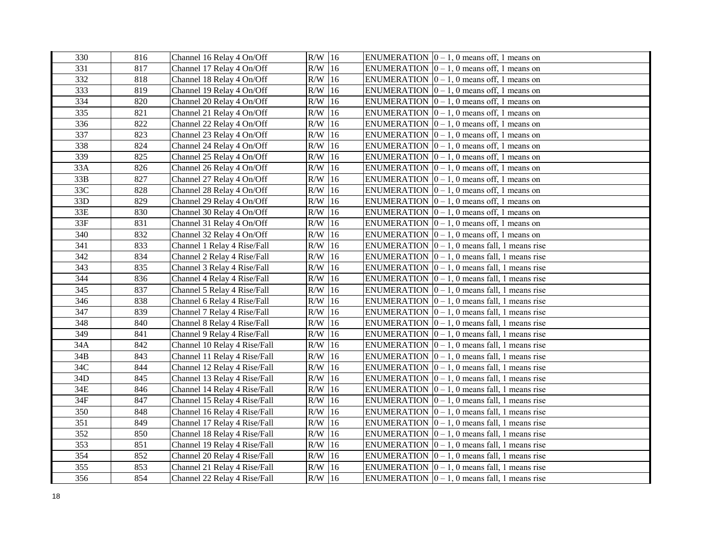| 330 | 816 | Channel 16 Relay 4 On/Off    | $R/W$ 16  |               | ENUMERATION $\vert 0-1, 0 \rangle$ means off, 1 means on    |
|-----|-----|------------------------------|-----------|---------------|-------------------------------------------------------------|
| 331 | 817 | Channel 17 Relay 4 On/Off    | $R/W$ 16  |               | ENUMERATION $ 0 - 1$ , 0 means off, 1 means on              |
| 332 | 818 | Channel 18 Relay 4 On/Off    | $R/W$ 16  |               | ENUMERATION $ 0 - 1$ , 0 means off, 1 means on              |
| 333 | 819 | Channel 19 Relay 4 On/Off    | $R/W$ 16  |               | ENUMERATION $ 0 - 1$ , 0 means off, 1 means on              |
| 334 | 820 | Channel 20 Relay 4 On/Off    | $R/W$ 16  |               | ENUMERATION $[0 - 1, 0$ means off, 1 means on               |
| 335 | 821 | Channel 21 Relay 4 On/Off    | R/W       | 16            | ENUMERATION $[0 - 1, 0$ means off, 1 means on               |
| 336 | 822 | Channel 22 Relay 4 On/Off    | $\rm R/W$ | 16            | ENUMERATION $ 0 - 1$ , 0 means off, 1 means on              |
| 337 | 823 | Channel 23 Relay 4 On/Off    | $\rm R/W$ | <sup>16</sup> | ENUMERATION $ 0 - 1$ , 0 means off, 1 means on              |
| 338 | 824 | Channel 24 Relay 4 On/Off    | $R/W$ 16  |               | ENUMERATION $ 0 - 1$ , 0 means off, 1 means on              |
| 339 | 825 | Channel 25 Relay 4 On/Off    | R/W       | 16            | ENUMERATION $[0 - 1, 0$ means off, 1 means on               |
| 33A | 826 | Channel 26 Relay 4 On/Off    | R/W       | 16            | ENUMERATION $[0 - 1, 0$ means off, 1 means on               |
| 33B | 827 | Channel 27 Relay 4 On/Off    | R/W       | 16            | ENUMERATION $[0 - 1, 0$ means off, 1 means on               |
| 33C | 828 | Channel 28 Relay 4 On/Off    | $R/W$ 16  |               | ENUMERATION $ 0 - 1$ , 0 means off, 1 means on              |
| 33D | 829 | Channel 29 Relay 4 On/Off    | $R/W$ 16  |               | ENUMERATION $ 0 - 1, 0$ means off, 1 means on               |
| 33E | 830 | Channel 30 Relay 4 On/Off    | $R/W$ 16  |               | ENUMERATION $ 0 - 1$ , 0 means off, 1 means on              |
| 33F | 831 | Channel 31 Relay 4 On/Off    | $R/W$ 16  |               | ENUMERATION $ 0 - 1$ , 0 means off, 1 means on              |
| 340 | 832 | Channel 32 Relay 4 On/Off    | R/W       | 16            | ENUMERATION $ 0 - 1$ , 0 means off, 1 means on              |
| 341 | 833 | Channel 1 Relay 4 Rise/Fall  | R/W       | 16            | ENUMERATION $ 0 - 1$ , 0 means fall, 1 means rise           |
| 342 | 834 | Channel 2 Relay 4 Rise/Fall  | $\rm R/W$ | 16            | ENUMERATION $ 0 - 1$ , 0 means fall, 1 means rise           |
| 343 | 835 | Channel 3 Relay 4 Rise/Fall  | R/W       | 16            | ENUMERATION $ 0 - 1$ , 0 means fall, 1 means rise           |
| 344 | 836 | Channel 4 Relay 4 Rise/Fall  | $\rm R/W$ | 16            | ENUMERATION $ 0 - 1$ , 0 means fall, 1 means rise           |
| 345 | 837 | Channel 5 Relay 4 Rise/Fall  | $R/W$ 16  |               | ENUMERATION $\vert 0 - 1, 0 \vert$ means fall, 1 means rise |
| 346 | 838 | Channel 6 Relay 4 Rise/Fall  | $R/W$ 16  |               | ENUMERATION $ 0 - 1$ , 0 means fall, 1 means rise           |
| 347 | 839 | Channel 7 Relay 4 Rise/Fall  | $R/W$ 16  |               | ENUMERATION $ 0 - 1$ , 0 means fall, 1 means rise           |
| 348 | 840 | Channel 8 Relay 4 Rise/Fall  | $R/W$ 16  |               | ENUMERATION $[0 - 1, 0$ means fall, 1 means rise            |
| 349 | 841 | Channel 9 Relay 4 Rise/Fall  | $R/W$ 16  |               | ENUMERATION $\vert 0 - 1, 0 \vert$ means fall, 1 means rise |
| 34A | 842 | Channel 10 Relay 4 Rise/Fall | $R/W$ 16  |               | ENUMERATION $ 0 - 1$ , 0 means fall, 1 means rise           |
| 34B | 843 | Channel 11 Relay 4 Rise/Fall | $R/W$ 16  |               | ENUMERATION $ 0 - 1$ , 0 means fall, 1 means rise           |
| 34C | 844 | Channel 12 Relay 4 Rise/Fall | $R/W$ 16  |               | ENUMERATION $ 0 - 1$ , 0 means fall, 1 means rise           |
| 34D | 845 | Channel 13 Relay 4 Rise/Fall | $\rm R/W$ | 16            | ENUMERATION $ 0 - 1$ , 0 means fall, 1 means rise           |
| 34E | 846 | Channel 14 Relay 4 Rise/Fall | $\rm R/W$ | 16            | ENUMERATION $ 0 - 1$ , 0 means fall, 1 means rise           |
| 34F | 847 | Channel 15 Relay 4 Rise/Fall | $\rm R/W$ | 16            | ENUMERATION $\vert 0-1, 0 \vert$ means fall, 1 means rise   |
| 350 | 848 | Channel 16 Relay 4 Rise/Fall | $R/W$ 16  |               | ENUMERATION $ 0 - 1$ , 0 means fall, 1 means rise           |
| 351 | 849 | Channel 17 Relay 4 Rise/Fall | $R/W$ 16  |               | ENUMERATION $\vert 0-1, 0 \rangle$ means fall, 1 means rise |
| 352 | 850 | Channel 18 Relay 4 Rise/Fall | $R/W$ 16  |               | ENUMERATION $ 0 - 1$ , 0 means fall, 1 means rise           |
| 353 | 851 | Channel 19 Relay 4 Rise/Fall | $R/W$ 16  |               | ENUMERATION $ 0 - 1$ , 0 means fall, 1 means rise           |
| 354 | 852 | Channel 20 Relay 4 Rise/Fall | $R/W$ 16  |               | ENUMERATION $ 0 - 1$ , 0 means fall, 1 means rise           |
| 355 | 853 | Channel 21 Relay 4 Rise/Fall | R/W       | 16            | ENUMERATION $ 0 - 1$ , 0 means fall, 1 means rise           |
| 356 | 854 | Channel 22 Relay 4 Rise/Fall | $R/W$ 16  |               | ENUMERATION $\vert 0-1, 0 \rangle$ means fall, 1 means rise |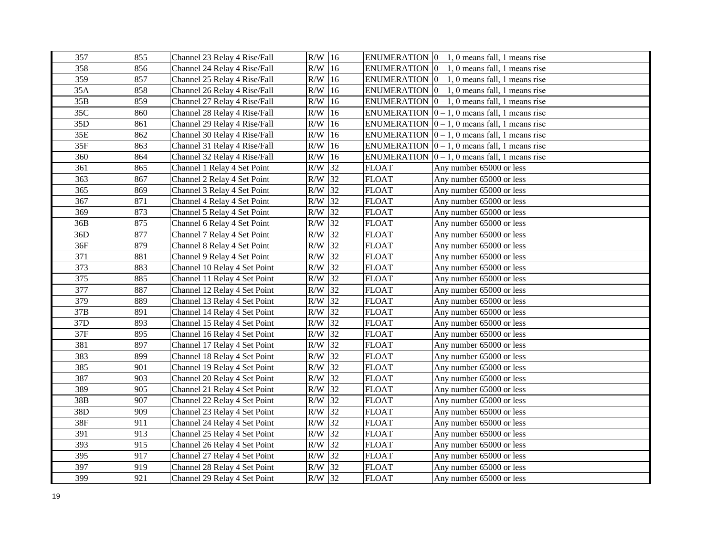| 357             | 855 | Channel 23 Relay 4 Rise/Fall | $R/W$ 16  |               |              | ENUMERATION $\vert 0-1, 0 \vert$ means fall, 1 means rise |
|-----------------|-----|------------------------------|-----------|---------------|--------------|-----------------------------------------------------------|
| 358             | 856 | Channel 24 Relay 4 Rise/Fall | $R/W$ 16  |               |              | ENUMERATION $ 0 - 1$ , 0 means fall, 1 means rise         |
| 359             | 857 | Channel 25 Relay 4 Rise/Fall | $R/W$ 16  |               |              | ENUMERATION $[0 - 1, 0$ means fall, 1 means rise          |
| 35A             | 858 | Channel 26 Relay 4 Rise/Fall | R/W       | 16            |              | ENUMERATION $ 0 - 1$ , 0 means fall, 1 means rise         |
| 35B             | 859 | Channel 27 Relay 4 Rise/Fall | R/W       | 16            |              | ENUMERATION $ 0 - 1$ , 0 means fall, 1 means rise         |
| 35C             | 860 | Channel 28 Relay 4 Rise/Fall | R/W       | 16            |              | ENUMERATION $[0 - 1, 0$ means fall, 1 means rise          |
| 35 <sub>D</sub> | 861 | Channel 29 Relay 4 Rise/Fall | R/W       | 16            |              | ENUMERATION $[0 - 1, 0$ means fall, 1 means rise          |
| 35E             | 862 | Channel 30 Relay 4 Rise/Fall | R/W       | 16            |              | ENUMERATION $ 0 - 1$ , 0 means fall, 1 means rise         |
| 35F             | 863 | Channel 31 Relay 4 Rise/Fall | R/W       | <sup>16</sup> |              | ENUMERATION $[0 - 1, 0$ means fall, 1 means rise          |
| 360             | 864 | Channel 32 Relay 4 Rise/Fall | R/W       | <sup>16</sup> |              | ENUMERATION $[0 - 1, 0$ means fall, 1 means rise          |
| 361             | 865 | Channel 1 Relay 4 Set Point  | R/W       | 32            | <b>FLOAT</b> | Any number 65000 or less                                  |
| 363             | 867 | Channel 2 Relay 4 Set Point  | R/W       | 32            | FLOAT        | Any number 65000 or less                                  |
| 365             | 869 | Channel 3 Relay 4 Set Point  | R/W       | 32            | <b>FLOAT</b> | Any number 65000 or less                                  |
| 367             | 871 | Channel 4 Relay 4 Set Point  | R/W       | 32            | <b>FLOAT</b> | Any number 65000 or less                                  |
| 369             | 873 | Channel 5 Relay 4 Set Point  | R/W       | 32            | <b>FLOAT</b> | Any number 65000 or less                                  |
| 36B             | 875 | Channel 6 Relay 4 Set Point  | R/W       | 32            | <b>FLOAT</b> | Any number 65000 or less                                  |
| 36D             | 877 | Channel 7 Relay 4 Set Point  | R/W       | 32            | <b>FLOAT</b> | Any number 65000 or less                                  |
| 36F             | 879 | Channel 8 Relay 4 Set Point  | R/W       | 32            | <b>FLOAT</b> | Any number 65000 or less                                  |
| 371             | 881 | Channel 9 Relay 4 Set Point  | R/W       | 32            | <b>FLOAT</b> | Any number 65000 or less                                  |
| 373             | 883 | Channel 10 Relay 4 Set Point | R/W       | 32            | <b>FLOAT</b> | Any number 65000 or less                                  |
| 375             | 885 | Channel 11 Relay 4 Set Point | R/W       | 32            | <b>FLOAT</b> | Any number 65000 or less                                  |
| 377             | 887 | Channel 12 Relay 4 Set Point | R/W       | 32            | <b>FLOAT</b> | Any number 65000 or less                                  |
| 379             | 889 | Channel 13 Relay 4 Set Point | R/W       | 32            | <b>FLOAT</b> | Any number 65000 or less                                  |
| 37B             | 891 | Channel 14 Relay 4 Set Point | R/W       | 32            | <b>FLOAT</b> | Any number 65000 or less                                  |
| 37D             | 893 | Channel 15 Relay 4 Set Point | R/W       | 32            | <b>FLOAT</b> | Any number 65000 or less                                  |
| 37F             | 895 | Channel 16 Relay 4 Set Point | R/W       | 32            | <b>FLOAT</b> | Any number 65000 or less                                  |
| 381             | 897 | Channel 17 Relay 4 Set Point | R/W       | 32            | <b>FLOAT</b> | Any number 65000 or less                                  |
| 383             | 899 | Channel 18 Relay 4 Set Point | R/W       | 32            | <b>FLOAT</b> | Any number 65000 or less                                  |
| 385             | 901 | Channel 19 Relay 4 Set Point | R/W       | 32            | <b>FLOAT</b> | Any number 65000 or less                                  |
| 387             | 903 | Channel 20 Relay 4 Set Point | R/W       | 32            | <b>FLOAT</b> | Any number 65000 or less                                  |
| 389             | 905 | Channel 21 Relay 4 Set Point | R/W       | 32            | <b>FLOAT</b> | Any number 65000 or less                                  |
| 38B             | 907 | Channel 22 Relay 4 Set Point | R/W       | 32            | <b>FLOAT</b> | Any number 65000 or less                                  |
| 38D             | 909 | Channel 23 Relay 4 Set Point | $\rm R/W$ | 32            | <b>FLOAT</b> | Any number 65000 or less                                  |
| 38F             | 911 | Channel 24 Relay 4 Set Point | R/W       | 32            | <b>FLOAT</b> | Any number 65000 or less                                  |
| 391             | 913 | Channel 25 Relay 4 Set Point | R/W       | 32            | <b>FLOAT</b> | Any number 65000 or less                                  |
| 393             | 915 | Channel 26 Relay 4 Set Point | R/W       | 32            | <b>FLOAT</b> | Any number 65000 or less                                  |
| 395             | 917 | Channel 27 Relay 4 Set Point | R/W       | 32            | <b>FLOAT</b> | Any number 65000 or less                                  |
| 397             | 919 | Channel 28 Relay 4 Set Point | R/W       | 32            | <b>FLOAT</b> | Any number 65000 or less                                  |
| 399             | 921 | Channel 29 Relay 4 Set Point | $R/W$ 32  |               | <b>FLOAT</b> | Any number 65000 or less                                  |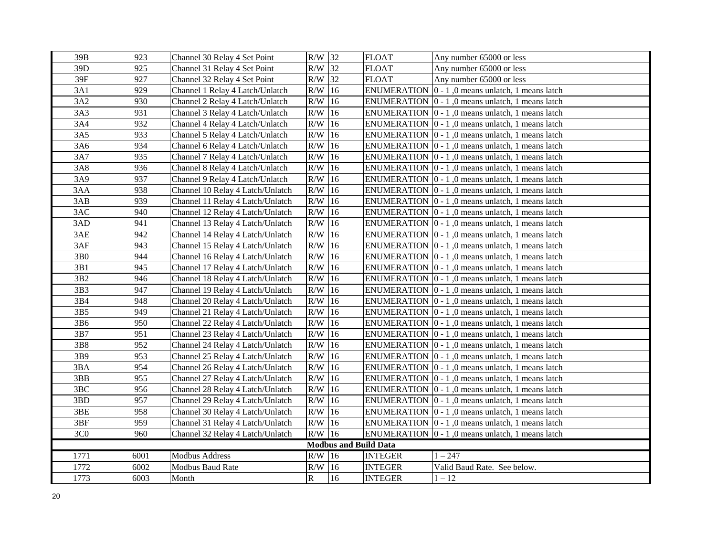| 39B             | 923  | Channel 30 Relay 4 Set Point     | $R/W$ 32                                             |                              | <b>FLOAT</b>   | Any number 65000 or less                                         |
|-----------------|------|----------------------------------|------------------------------------------------------|------------------------------|----------------|------------------------------------------------------------------|
| 39D             | 925  | Channel 31 Relay 4 Set Point     | $R/W$ 32                                             |                              | <b>FLOAT</b>   | Any number 65000 or less                                         |
| 39F             | 927  | Channel 32 Relay 4 Set Point     | $R/W$ 32<br><b>FLOAT</b><br>Any number 65000 or less |                              |                |                                                                  |
| 3A1             | 929  | Channel 1 Relay 4 Latch/Unlatch  | $R/W$ 16                                             |                              |                | ENUMERATION $\vert 0 - 1 \vert$ , 0 means unlatch, 1 means latch |
| 3A2             | 930  | Channel 2 Relay 4 Latch/Unlatch  | $R/W$ 16                                             |                              |                | ENUMERATION $\vert 0 - 1 \vert$ , 0 means unlatch, 1 means latch |
| 3A3             | 931  | Channel 3 Relay 4 Latch/Unlatch  | R/W                                                  | 16                           |                | ENUMERATION $\vert 0 - 1 \vert$ , 0 means unlatch, 1 means latch |
| 3A4             | 932  | Channel 4 Relay 4 Latch/Unlatch  | R/W                                                  | 16                           |                | ENUMERATION $\vert 0 - 1 \vert$ , 0 means unlatch, 1 means latch |
| 3A5             | 933  | Channel 5 Relay 4 Latch/Unlatch  | R/W                                                  | 16                           |                | ENUMERATION $\vert 0 - 1 \vert$ , 0 means unlatch, 1 means latch |
| 3A6             | 934  | Channel 6 Relay 4 Latch/Unlatch  | $R/W$ 16                                             |                              |                | ENUMERATION $\vert 0 - 1 \vert$ , 0 means unlatch, 1 means latch |
| 3A7             | 935  | Channel 7 Relay 4 Latch/Unlatch  | $R/W$ 16                                             |                              |                | ENUMERATION $ 0 - 1 $ , 0 means unlatch, 1 means latch           |
| 3A8             | 936  | Channel 8 Relay 4 Latch/Unlatch  | $R/W$ 16                                             |                              |                | ENUMERATION $ 0 - 1 $ , 0 means unlatch, 1 means latch           |
| 3A9             | 937  | Channel 9 Relay 4 Latch/Unlatch  | $R/W$ 16                                             |                              |                | ENUMERATION $ 0 - 1 $ , 0 means unlatch, 1 means latch           |
| 3AA             | 938  | Channel 10 Relay 4 Latch/Unlatch | $R/W$ 16                                             |                              |                | ENUMERATION $ 0 - 1 $ , 0 means unlatch, 1 means latch           |
| 3AB             | 939  | Channel 11 Relay 4 Latch/Unlatch | R/W                                                  | 16                           |                | ENUMERATION $ 0 - 1 $ , 0 means unlatch, 1 means latch           |
| 3AC             | 940  | Channel 12 Relay 4 Latch/Unlatch | $R/W$ 16                                             |                              |                | ENUMERATION $ 0 - 1 $ , 0 means unlatch, 1 means latch           |
| 3AD             | 941  | Channel 13 Relay 4 Latch/Unlatch | R/W                                                  | 16                           |                | ENUMERATION $ 0 - 1 $ , 0 means unlatch, 1 means latch           |
| 3AE             | 942  | Channel 14 Relay 4 Latch/Unlatch | R/W                                                  | 16                           |                | ENUMERATION $ 0 - 1 $ , 0 means unlatch, 1 means latch           |
| 3AF             | 943  | Channel 15 Relay 4 Latch/Unlatch | R/W                                                  | 16                           |                | ENUMERATION $ 0 - 1 $ , 0 means unlatch, 1 means latch           |
| 3B <sub>0</sub> | 944  | Channel 16 Relay 4 Latch/Unlatch | R/W                                                  | 16                           |                | ENUMERATION $\vert 0 - 1 \vert$ , 0 means unlatch, 1 means latch |
| 3B1             | 945  | Channel 17 Relay 4 Latch/Unlatch | R/W                                                  | 16                           |                | ENUMERATION $ 0 - 1 $ , 0 means unlatch, 1 means latch           |
| 3B <sub>2</sub> | 946  | Channel 18 Relay 4 Latch/Unlatch | $R/W$ 16                                             |                              |                | ENUMERATION $ 0 - 1 $ , 0 means unlatch, 1 means latch           |
| 3B3             | 947  | Channel 19 Relay 4 Latch/Unlatch | $R/W$ 16                                             |                              |                | ENUMERATION $\vert 0 - 1 \vert$ , 0 means unlatch, 1 means latch |
| 3B4             | 948  | Channel 20 Relay 4 Latch/Unlatch | $R/W$ 16                                             |                              |                | ENUMERATION $\vert 0 - 1 \vert$ , 0 means unlatch, 1 means latch |
| 3B5             | 949  | Channel 21 Relay 4 Latch/Unlatch | $R/W$ 16                                             |                              |                | ENUMERATION $\vert 0 - 1 \vert$ , 0 means unlatch, 1 means latch |
| 3B6             | 950  | Channel 22 Relay 4 Latch/Unlatch | $R/W$ 16                                             |                              |                | ENUMERATION $\vert 0 - 1 \vert$ , 0 means unlatch, 1 means latch |
| 3B7             | 951  | Channel 23 Relay 4 Latch/Unlatch | $R/W$ 16                                             |                              |                | ENUMERATION $\vert 0 - 1 \vert$ , 0 means unlatch, 1 means latch |
| 3B8             | 952  | Channel 24 Relay 4 Latch/Unlatch | $R/W$ 16                                             |                              |                | ENUMERATION $\vert 0 - 1 \vert$ , 0 means unlatch, 1 means latch |
| 3B9             | 953  | Channel 25 Relay 4 Latch/Unlatch | $R/W$ 16                                             |                              |                | ENUMERATION $\vert 0 - 1 \vert$ , 0 means unlatch, 1 means latch |
| 3BA             | 954  | Channel 26 Relay 4 Latch/Unlatch | R/W                                                  | 16                           |                | ENUMERATION $\vert 0 - 1 \vert$ , 0 means unlatch, 1 means latch |
| 3BB             | 955  | Channel 27 Relay 4 Latch/Unlatch | R/W                                                  | 16                           |                | ENUMERATION $ 0 - 1 $ , 0 means unlatch, 1 means latch           |
| 3BC             | 956  | Channel 28 Relay 4 Latch/Unlatch | R/W                                                  | 16                           |                | ENUMERATION $\vert 0 - 1 \vert$ , 0 means unlatch, 1 means latch |
| 3BD             | 957  | Channel 29 Relay 4 Latch/Unlatch | R/W                                                  | 16                           |                | ENUMERATION $\vert 0 - 1 \vert$ , 0 means unlatch, 1 means latch |
| 3BE             | 958  | Channel 30 Relay 4 Latch/Unlatch | $R/W$ 16                                             |                              |                | ENUMERATION $ 0 - 1 $ , 0 means unlatch, 1 means latch           |
| 3BF             | 959  | Channel 31 Relay 4 Latch/Unlatch | $R/W$ 16                                             |                              |                | ENUMERATION $\vert 0 - 1 \vert$ , 0 means unlatch, 1 means latch |
| 3C <sub>0</sub> | 960  | Channel 32 Relay 4 Latch/Unlatch | $R/W$ 16                                             |                              |                | ENUMERATION $\vert 0 - 1 \vert$ , 0 means unlatch, 1 means latch |
|                 |      |                                  |                                                      | <b>Modbus and Build Data</b> |                |                                                                  |
| 1771            | 6001 | Modbus Address                   | $R/W$ 16                                             |                              | <b>INTEGER</b> | $1 - 247$                                                        |
| 1772            | 6002 | <b>Modbus Baud Rate</b>          | $R/W$ 16                                             |                              | <b>INTEGER</b> | Valid Baud Rate. See below.                                      |
| 1773            | 6003 | Month                            | $\mathbf R$                                          | 16                           | <b>INTEGER</b> | $1 - 12$                                                         |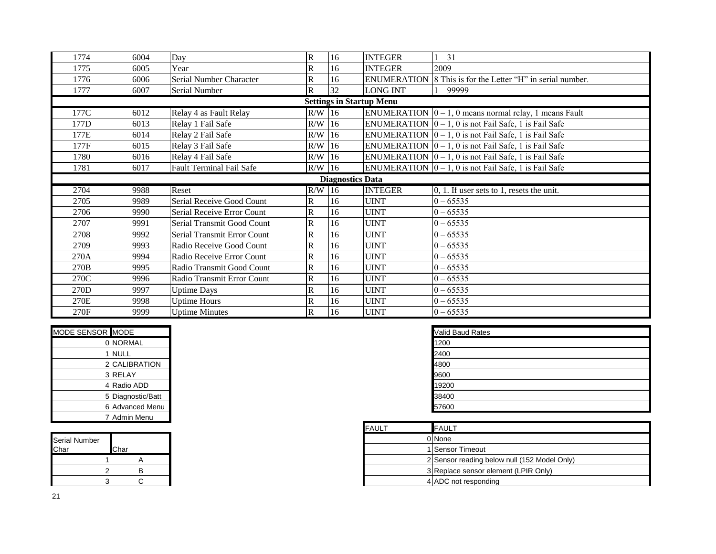| 1774                            | 6004 | Day                         | $\overline{\mathbf{R}}$ | 16                       | <b>INTEGER</b> | $1 - 31$                                                            |  |  |
|---------------------------------|------|-----------------------------|-------------------------|--------------------------|----------------|---------------------------------------------------------------------|--|--|
| 1775                            | 6005 | Year                        | $\overline{\mathbf{R}}$ | 16                       | <b>INTEGER</b> | $2009 -$                                                            |  |  |
| 1776                            | 6006 | Serial Number Character     | $\overline{\mathbf{R}}$ | <b>ENUMERATION</b><br>16 |                | 8 This is for the Letter "H" in serial number.                      |  |  |
| 1777                            | 6007 | Serial Number               | $\overline{R}$          | 32                       | LONG INT       | $1 - 999999$                                                        |  |  |
| <b>Settings in Startup Menu</b> |      |                             |                         |                          |                |                                                                     |  |  |
| 177C                            | 6012 | Relay 4 as Fault Relay      | $R/W$ 16                |                          |                | ENUMERATION $ 0 - 1$ , 0 means normal relay, 1 means Fault          |  |  |
| 177D                            | 6013 | Relay 1 Fail Safe           | $R/W$ 16                |                          |                | ENUMERATION $\vert 0-1, 0 \rangle$ is not Fail Safe, 1 is Fail Safe |  |  |
| 177E                            | 6014 | Relay 2 Fail Safe           | $R/W$ 16                |                          |                | ENUMERATION $\vert 0-1, 0 \vert$ is not Fail Safe, 1 is Fail Safe   |  |  |
| 177F                            | 6015 | Relay 3 Fail Safe           | R/W                     | 16                       |                | ENUMERATION $\vert 0 - 1, 0 \vert$ is not Fail Safe, 1 is Fail Safe |  |  |
| 1780                            | 6016 | Relay 4 Fail Safe           | R/W                     | 16                       |                | ENUMERATION $ 0 - 1, 0$ is not Fail Safe, 1 is Fail Safe            |  |  |
| 1781                            | 6017 | Fault Terminal Fail Safe    | $R/W$ 16                |                          |                | ENUMERATION $ 0 - 1, 0$ is not Fail Safe, 1 is Fail Safe            |  |  |
|                                 |      |                             |                         | <b>Diagnostics Data</b>  |                |                                                                     |  |  |
| 2704                            | 9988 | Reset                       | $R/W$ 16                |                          | <b>INTEGER</b> | $0, 1$ . If user sets to 1, resets the unit.                        |  |  |
|                                 |      |                             |                         |                          |                |                                                                     |  |  |
| 2705                            | 9989 | Serial Receive Good Count   | $\mathbf R$             | 16                       | <b>UINT</b>    | $0 - 65535$                                                         |  |  |
| 2706                            | 9990 | Serial Receive Error Count  | $\overline{R}$          | 16                       | <b>UINT</b>    | $0 - 65535$                                                         |  |  |
| 2707                            | 9991 | Serial Transmit Good Count  | R                       | 16                       | <b>UINT</b>    | $0 - 65535$                                                         |  |  |
| 2708                            | 9992 | Serial Transmit Error Count | $\mathbf R$             | 16                       | <b>UINT</b>    | $0 - 65535$                                                         |  |  |
| 2709                            | 9993 | Radio Receive Good Count    | $\overline{R}$          | 16                       | <b>UINT</b>    | $0 - 65535$                                                         |  |  |
| 270A                            | 9994 | Radio Receive Error Count   | $\overline{R}$          | 16                       | <b>UINT</b>    | $0 - 65535$                                                         |  |  |
| 270 <sub>B</sub>                | 9995 | Radio Transmit Good Count   | $\mathbb{R}$            | 16                       | <b>UINT</b>    | $0 - 65535$                                                         |  |  |
| 270C                            | 9996 | Radio Transmit Error Count  | $\mathbb{R}$            | 16                       | <b>UINT</b>    | $0 - 65535$                                                         |  |  |
| 270D                            | 9997 | <b>Uptime Days</b>          | $\mathbf R$             | 16                       | <b>UINT</b>    | $0 - 65535$                                                         |  |  |
| 270E                            | 9998 | <b>Uptime Hours</b>         | ${\bf R}$               | 16                       | <b>UINT</b>    | $0 - 65535$                                                         |  |  |

| MODE SENSOR MODE |                   | <b>Valid Baud Rates</b> |
|------------------|-------------------|-------------------------|
|                  | 0 NORMAL          | 1200                    |
|                  | 1 NULL            | 2400                    |
|                  | 2 CALIBRATION     | 4800                    |
|                  | 3 RELAY           | 9600                    |
|                  | 4 Radio ADD       | 19200                   |
|                  | 5 Diagnostic/Batt | 38400                   |
|                  | 6 Advanced Menu   | 57600                   |
|                  | 7 Admin Menu      |                         |

| <b>Serial Number</b><br>Char | Char |   |
|------------------------------|------|---|
|                              |      |   |
|                              |      | R |
|                              |      |   |

| Valid Baud Rates |  |
|------------------|--|
| 1200             |  |
| 2400             |  |
| 4800             |  |
| 9600             |  |
| 19200            |  |
| 38400            |  |
| 57600            |  |

|      | <b>FAULT</b> | <b>FAULT</b>                                 |
|------|--------------|----------------------------------------------|
|      |              | 0 None                                       |
| Char |              | 1 Sensor Timeout                             |
|      |              | 2 Sensor reading below null (152 Model Only) |
| B    |              | 3 Replace sensor element (LPIR Only)         |
|      |              | 4 ADC not responding                         |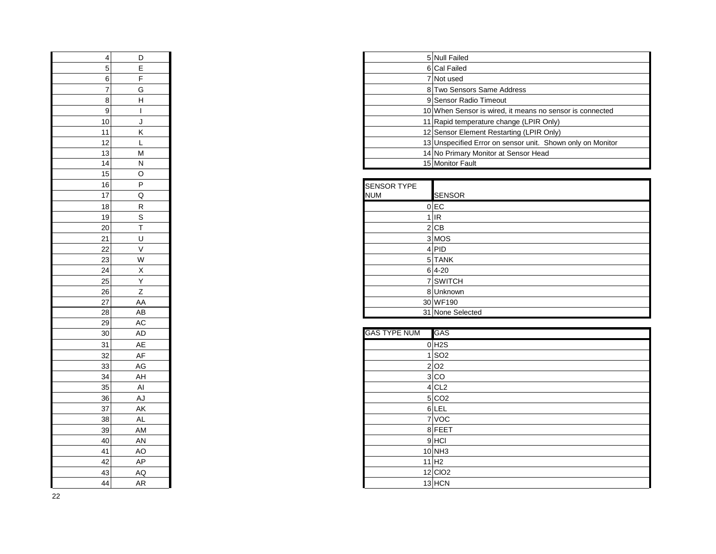| 4               | D                        |
|-----------------|--------------------------|
| 5               | E                        |
| 6               | F                        |
| 7               | G                        |
| 8               | H                        |
| 9               | $\overline{\phantom{a}}$ |
| 10              | J                        |
| 11              | K                        |
| 12              | L                        |
| 13              | M                        |
| 14              | $\overline{\mathsf{N}}$  |
| 15              | O                        |
| 16              | $\overline{P}$           |
| 17              | $\overline{\mathsf{Q}}$  |
| 18              | R                        |
| 19              | $\overline{\mathbf{s}}$  |
| 20              | $\overline{\mathsf{T}}$  |
| 21              | $\cup$                   |
| 22              | $\overline{\vee}$        |
| 23              | W                        |
| $\overline{24}$ | $\overline{\mathsf{x}}$  |
| 25              | Y                        |
| 26              | Z                        |
| 27              | AA                       |
| 28              | AB                       |
| 29              | AC                       |
| $\overline{30}$ | AD                       |
| 31              | AE                       |
| 32              | AF                       |
| 33              | AG                       |
| 34              | AH                       |
| 35              | Al                       |
| 36              | AJ                       |
| $\frac{37}{2}$  | AK                       |
| 38              | AL                       |
| 39              | AM                       |
| 40              | AN                       |
| 41              | AO                       |
| 42              | AP                       |
| 43              | AQ                       |
| $\overline{A}$  | ΔR                       |

| D. | 5 Null Failed                                              |
|----|------------------------------------------------------------|
|    | 6 Cal Failed                                               |
|    | 7 Not used                                                 |
| G  | 8 Two Sensors Same Address                                 |
| н  | 9 Sensor Radio Timeout                                     |
|    | 10 When Sensor is wired, it means no sensor is connected   |
|    | 11 Rapid temperature change (LPIR Only)                    |
| κ  | 12 Sensor Element Restarting (LPIR Only)                   |
|    | 13 Unspecified Error on sensor unit. Shown only on Monitor |
| M  | 14 No Primary Monitor at Sensor Head                       |
| N  | 15 Monitor Fault                                           |

| ျပျ             | ◡            |                             |
|-----------------|--------------|-----------------------------|
| 16              | P            | <b>SENSOR TYPE</b>          |
| 17              | Q            | <b>NUM</b><br><b>SENSOR</b> |
| 18              | R.           | $0$ EC                      |
| 19              | S            | $1$ IR                      |
| $20\vert$       |              | 2 CB                        |
| 21              | U            | 3 MOS                       |
| 22              | $\vee$       | 4 PID                       |
| $\overline{23}$ | W            | 5 TANK                      |
| 24              | X            | $6 4-20$                    |
| $25\overline{}$ | $\checkmark$ | 7 SWITCH                    |
| $\overline{26}$ |              | 8 Unknown                   |
| $\overline{27}$ | AA           | 30 WF190                    |
| 28              | AB           | 31 None Selected            |

| 30            | AD  | <b>GAS TYPE NUM</b><br>GAS |
|---------------|-----|----------------------------|
| 31            | AE  | $0$ H <sub>2</sub> S       |
| 32            | AF  | $1$ SO <sub>2</sub>        |
| 33            | AG  | 2 O2                       |
| $\frac{34}{}$ | AH  | 3 CO                       |
| 35            | AI  | $4$ CL <sub>2</sub>        |
| 36            | AJ  | 5 CO2                      |
| 37            | AK  | 6 LEL                      |
| 38            | AL  | 7 VOC                      |
| 39            | AM  | 8 FEET                     |
| 40            | AN  | $9$ HCI                    |
| 41            | AO. | $10$ NH3                   |
| 42            | AP  | $11$ H <sub>2</sub>        |
| 43            | AQ  | 12 CIO2                    |
| 44            | AR  | $13$ HCN                   |